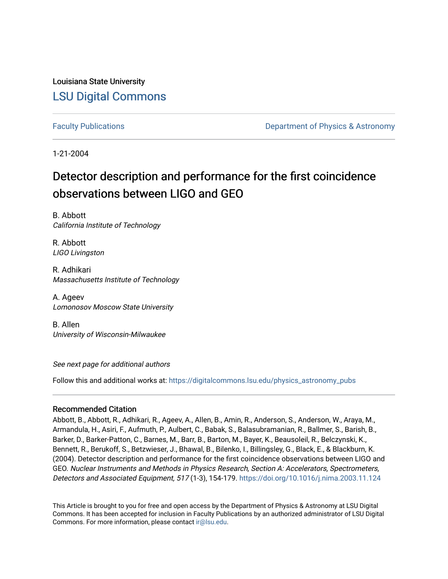Louisiana State University [LSU Digital Commons](https://digitalcommons.lsu.edu/)

[Faculty Publications](https://digitalcommons.lsu.edu/physics_astronomy_pubs) **Example 2** Constant Department of Physics & Astronomy

1-21-2004

# Detector description and performance for the first coincidence observations between LIGO and GEO

B. Abbott California Institute of Technology

R. Abbott LIGO Livingston

R. Adhikari Massachusetts Institute of Technology

A. Ageev Lomonosov Moscow State University

B. Allen University of Wisconsin-Milwaukee

See next page for additional authors

Follow this and additional works at: [https://digitalcommons.lsu.edu/physics\\_astronomy\\_pubs](https://digitalcommons.lsu.edu/physics_astronomy_pubs?utm_source=digitalcommons.lsu.edu%2Fphysics_astronomy_pubs%2F1231&utm_medium=PDF&utm_campaign=PDFCoverPages) 

# Recommended Citation

Abbott, B., Abbott, R., Adhikari, R., Ageev, A., Allen, B., Amin, R., Anderson, S., Anderson, W., Araya, M., Armandula, H., Asiri, F., Aufmuth, P., Aulbert, C., Babak, S., Balasubramanian, R., Ballmer, S., Barish, B., Barker, D., Barker-Patton, C., Barnes, M., Barr, B., Barton, M., Bayer, K., Beausoleil, R., Belczynski, K., Bennett, R., Berukoff, S., Betzwieser, J., Bhawal, B., Bilenko, I., Billingsley, G., Black, E., & Blackburn, K. (2004). Detector description and performance for the first coincidence observations between LIGO and GEO. Nuclear Instruments and Methods in Physics Research, Section A: Accelerators, Spectrometers, Detectors and Associated Equipment, 517 (1-3), 154-179.<https://doi.org/10.1016/j.nima.2003.11.124>

This Article is brought to you for free and open access by the Department of Physics & Astronomy at LSU Digital Commons. It has been accepted for inclusion in Faculty Publications by an authorized administrator of LSU Digital Commons. For more information, please contact [ir@lsu.edu](mailto:ir@lsu.edu).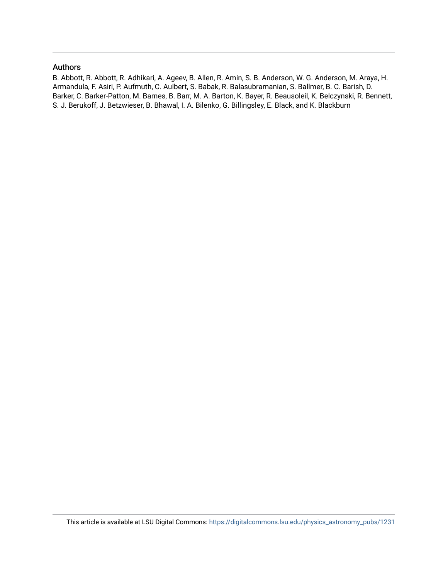## Authors

B. Abbott, R. Abbott, R. Adhikari, A. Ageev, B. Allen, R. Amin, S. B. Anderson, W. G. Anderson, M. Araya, H. Armandula, F. Asiri, P. Aufmuth, C. Aulbert, S. Babak, R. Balasubramanian, S. Ballmer, B. C. Barish, D. Barker, C. Barker-Patton, M. Barnes, B. Barr, M. A. Barton, K. Bayer, R. Beausoleil, K. Belczynski, R. Bennett, S. J. Berukoff, J. Betzwieser, B. Bhawal, I. A. Bilenko, G. Billingsley, E. Black, and K. Blackburn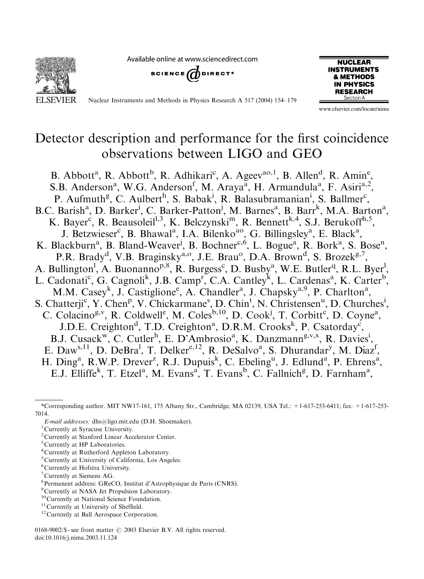Available online at www.sciencedirect.com





Nuclear Instruments and Methods in Physics Research A 517 (2004) 154–179



www.elsevier.com/locate/nima

# Detector description and performance for the first coincidence observations between LIGO and GEO

B. Abbott<sup>a</sup>, R. Abbott<sup>b</sup>, R. Adhikari<sup>c</sup>, A. Ageev<sup>ao,1</sup>, B. Allen<sup>d</sup>, R. Amin<sup>e</sup>, S.B. Anderson<sup>a</sup>, W.G. Anderson<sup>f</sup>, M. Araya<sup>a</sup>, H. Armandula<sup>a</sup>, F. Asiri<sup>a,2</sup>, P. Aufmuth<sup>g</sup>, C. Aulbert<sup>h</sup>, S. Babak<sup>i</sup>, R. Balasubramanian<sup>i</sup>, S. Ballmer<sup>c</sup>, B.C. Barish<sup>a</sup>, D. Barker<sup>i</sup>, C. Barker-Patton<sup>j</sup>, M. Barnes<sup>a</sup>, B. Barr<sup>k</sup>, M.A. Barton<sup>a</sup>, K. Bayer<sup>c</sup>, R. Beausoleil<sup>1,3</sup>, K. Belczynski<sup>m</sup>, R. Bennett<sup>k,4</sup>, S.J. Berukoff<sup>h,5</sup>, J. Betzwieser<sup>c</sup>, B. Bhawal<sup>a</sup>, I.A. Bilenko<sup>ao</sup>, G. Billingsley<sup>a</sup>, E. Black<sup>a</sup>, K. Blackburn<sup>a</sup>, B. Bland-Weaver<sup>j</sup>, B. Bochner<sup>c, 6</sup>, L. Bogue<sup>a</sup>, R. Bork<sup>a</sup>, S. Bose<sup>n</sup>, P.R. Brady<sup>d</sup>, V.B. Braginsky<sup>a,o</sup>, J.E. Brau<sup>o</sup>, D.A. Brown<sup>d</sup>, S. Brozek<sup>g,7</sup>, A. Bullington<sup>1</sup>, A. Buonanno<sup>p,8</sup>, R. Burgess<sup>c</sup>, D. Busby<sup>a</sup>, W.E. Butler<sup>q</sup>, R.L. Byer<sup>1</sup>, L. Cadonati<sup>c</sup>, G. Cagnoli<sup>k</sup>, J.B. Camp<sup>r</sup>, C.A. Cantley<sup>k</sup>, L. Cardenas<sup>a</sup>, K. Carter<sup>b</sup>, M.M. Casey<sup>k</sup>, J. Castiglione<sup>e</sup>, A. Chandler<sup>a</sup>, J. Chapsky<sup>a,9</sup>, P. Charlton<sup>a</sup>, S. Chatterji<sup>c</sup>, Y. Chen<sup>p</sup>, V. Chickarmane<sup>s</sup>, D. Chin<sup>t</sup>, N. Christensen<sup>u</sup>, D. Churches<sup>i</sup>, C. Colacino<sup>g,v</sup>, R. Coldwell<sup>e</sup>, M. Coles<sup>b,10</sup>, D. Cook<sup>j</sup>, T. Corbitt<sup>c</sup>, D. Coyne<sup>a</sup>, J.D.E. Creighton<sup>d</sup>, T.D. Creighton<sup>a</sup>, D.R.M. Crooks<sup>k</sup>, P. Csatorday<sup>c</sup>, B.J. Cusack<sup>w</sup>, C. Cutler<sup>h</sup>, E. D'Ambrosio<sup>a</sup>, K. Danzmann<sup>g,v,x</sup>, R. Davies<sup>i</sup>, E. Daw<sup>s,11</sup>, D. DeBra<sup>1</sup>, T. Delker<sup>e,12</sup>, R. DeSalvo<sup>a</sup>, S. Dhurandar<sup>y</sup>, M. Diaz<sup>f</sup>, H. Ding<sup>a</sup>, R.W.P. Drever<sup>z</sup>, R.J. Dupuis<sup>k</sup>, C. Ebeling<sup>u</sup>, J. Edlund<sup>a</sup>, P. Ehrens<sup>a</sup>, E.J. Elliffe<sup>k</sup>, T. Etzel<sup>a</sup>, M. Evans<sup>a</sup>, T. Evans<sup>b</sup>, C. Fallnich<sup>g</sup>, D. Farnham<sup>a</sup>,

- <sup>1</sup> Currently at Syracuse University.
- 2 Currently at Stanford Linear Accelerator Center.
- <sup>3</sup> Currently at HP Laboratories.
- 4Currently at Rutherford Appleton Laboratory.
- 5 Currently at University of California, Los Angeles.
- 6 Currently at Hofstra University.
- 7Currently at Siemens AG.
- 8Permanent address: GReCO, Institut d'Astrophysique de Paris (CNRS).
- <sup>9</sup> Currently at NASA Jet Propulsion Laboratory.
- $10^1$ Currently at National Science Foundation.<br> $11$ Currently at University of Sheffield.
- 
- <sup>12</sup> Currently at Ball Aerospace Corporation.

0168-9002/\$ - see front matter  $\odot$  2003 Elsevier B.V. All rights reserved. doi:10.1016/j.nima.2003.11.124

<sup>\*</sup>Corresponding author. MIT NW17-161, 175 Albany Str., Cambridge, MA 02139, USA Tel.: +1-617-253-6411; fax: +1-617-253- 7014.

E-mail addresses: dhs@ligo.mit.edu (D.H. Shoemaker).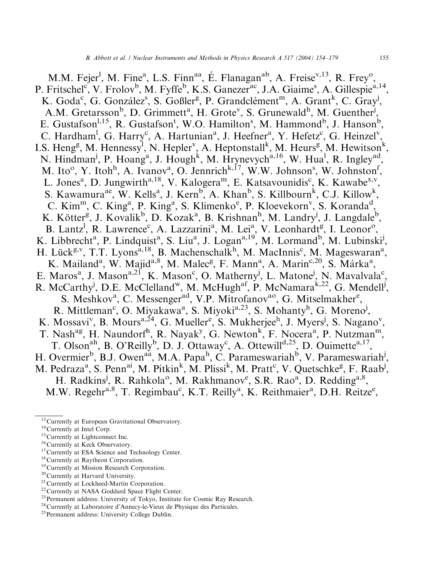M.M. Fejer<sup>1</sup>, M. Fine<sup>a</sup>, L.S. Finn<sup>aa</sup>, É. Flanagan<sup>ab</sup>, A. Freise<sup>v,13</sup>, R. Frey<sup>o</sup>, P. Fritschel<sup>c</sup>, V. Frolov<sup>b</sup>, M. Fyffe<sup>b</sup>, K.S. Ganezer<sup>ac</sup>, J.A. Giaime<sup>s</sup>, A. Gillespie<sup>a, 14</sup>, K. Goda<sup>c</sup>, G. González<sup>s</sup>, S. Goßler<sup>g</sup>, P. Grandclément<sup>m</sup>, A. Grant<sup>k</sup>, C. Gray<sup>j</sup>, A.M. Gretarsson<sup>b</sup>, D. Grimmett<sup>a</sup>, H. Grote<sup>v</sup>, S. Grunewald<sup>h</sup>, M. Guenther<sup>j</sup>, E. Gustafson<sup>1,15</sup>, R. Gustafson<sup>t</sup>, W.O. Hamilton<sup>s</sup>, M. Hammond<sup>b</sup>, J. Hanson<sup>b</sup>, C. Hardham<sup>l</sup>, G. Harry<sup>c</sup>, A. Hartunian<sup>a</sup>, J. Heefner<sup>a</sup>, Y. Hefetz<sup>c</sup>, G. Heinzel<sup>v</sup>, I.S. Heng<sup>g</sup>, M. Hennessy<sup>l</sup>, N. Hepler<sup>v</sup>, A. Heptonstall<sup>k</sup>, M. Heurs<sup>g</sup>, M. Hewitson<sup>k</sup>, N. Hindman<sup>j</sup>, P. Hoang<sup>a</sup>, J. Hough<sup>k</sup>, M. Hrynevych<sup>a, 16</sup>, W. Hua<sup>l</sup>, R. Ingley<sup>ad</sup>, M. Ito<sup>o</sup>, Y. Itoh<sup>h</sup>, A. Ivanov<sup>a</sup>, O. Jennrich<sup>k, I7</sup>, W.W. Johnson<sup>s</sup>, W. Johnston<sup>f</sup>, L. Jones<sup>a</sup>, D. Jungwirth<sup>a, 18</sup>, V. Kalogera<sup>m</sup>, E. Katsavounidis<sup>c</sup>, K. Kawabe<sup>x, v</sup>, S. Kawamura<sup>ae</sup>, W. Kells<sup>a</sup>, J. Kern<sup>b</sup>, A. Khan<sup>b</sup>, S. Killbourn<sup>k</sup>, C.J. Killow<sup>k</sup>, C. Kim<sup>m</sup>, C. King<sup>a</sup>, P. King<sup>a</sup>, S. Klimenko<sup>e</sup>, P. Kloevekorn<sup>v</sup>, S. Koranda<sup>d</sup>, K. Kötter<sup>g</sup>, J. Kovalik<sup>b</sup>, D. Kozak<sup>a</sup>, B. Krishnan<sup>h</sup>, M. Landry<sup>j</sup>, J. Langdale<sup>b</sup>, B. Lantz<sup>l</sup>, R. Lawrence<sup>c</sup>, A. Lazzarini<sup>a</sup>, M. Lei<sup>a</sup>, V. Leonhardt<sup>g</sup>, I. Leonor<sup>o</sup>, K. Libbrecht<sup>a</sup>, P. Lindquist<sup>a</sup>, S. Liu<sup>a</sup>, J. Logan<sup>a, 19</sup>, M. Lormand<sup>b</sup>, M. Lubinski<sup>j</sup>, H. Lück<sup>g,v</sup>, T.T. Lyons<sup>a,18</sup>, B. Machenschalk<sup>h</sup>, M. MacInnis<sup>c</sup>, M. Mageswaran<sup>a</sup>, K. Mailand<sup>a</sup>, W. Majid<sup>a,8</sup>, M. Malec<sup>g</sup>, F. Mann<sup>a</sup>, A. Marin<sup>c,20</sup>, S. Márka<sup>a</sup>, E. Maros<sup>a</sup>, J. Mason<sup>a,21</sup>, K. Mason<sup>c</sup>, O. Matherny<sup>j</sup>, L. Matone<sup>j</sup>, N. Mavalvala<sup>c</sup>, R. McCarthy<sup>j</sup>, D.E. McClelland<sup>w</sup>, M. McHugh<sup>af</sup>, P. McNamara<sup>k, 22</sup>, G. Mendell<sup>j</sup>, S. Meshkov<sup>a</sup>, C. Messenger<sup>ad</sup>, V.P. Mitrofanov<sup>ao</sup>, G. Mitselmakher<sup>e</sup>, R. Mittleman<sup>c</sup>, O. Miyakawa<sup>a</sup>, S. Miyoki<sup>a,23</sup>, S. Mohanty<sup>h</sup>, G. Moreno<sup>j</sup>, K. Mossavi<sup>v</sup>, B. Mours<sup>a,24</sup>, G. Mueller<sup>e</sup>, S. Mukherjee<sup>h</sup>, J. Myers<sup>j</sup>, S. Nagano<sup>v</sup>, T. Nash<sup>ag</sup>, H. Naundorf<sup>h</sup>, R. Nayak<sup>y</sup>, G. Newton<sup>k</sup>, F. Nocera<sup>a</sup>, P. Nutzman<sup>m</sup>, T. Olson<sup>ah</sup>, B. O'Reilly<sup>b</sup>, D. J. Ottaway<sup>c</sup>, A. Ottewill<sup>d,25</sup>, D. Ouimette<sup>a,17</sup>, H. Overmier<sup>b</sup>, B.J. Owen<sup>aa</sup>, M.A. Papa<sup>h</sup>, C. Parameswariah<sup>b</sup>, V. Parameswariah<sup>j</sup>, M. Pedraza<sup>a</sup>, S. Penn<sup>ai</sup>, M. Pitkin<sup>k</sup>, M. Plissi<sup>k</sup>, M. Pratt<sup>c</sup>, V. Quetschke<sup>g</sup>, F. Raab<sup>j</sup>, H. Radkins<sup>j</sup>, R. Rahkola<sup>o</sup>, M. Rakhmanov<sup>e</sup>, S.R. Rao<sup>a</sup>, D. Redding<sup>a,8</sup>, M.W. Regehr<sup>a,8</sup>, T. Regimbau<sup>c</sup>, K.T. Reilly<sup>a</sup>, K. Reithmaier<sup>a</sup>, D.H. Reitze<sup>e</sup>,

 $13$  Currently at European Gravitational Observatory.<br> $14$  Currently at Intel Corp.

<sup>&</sup>lt;sup>15</sup> Currently at Lightconnect Inc.<br><sup>16</sup> Currently at Keck Observatory.<br><sup>17</sup> Currently at ESA Science and Technology Center.

<sup>&</sup>lt;sup>18</sup> Currently at Raytheon Corporation.<br><sup>19</sup> Currently at Mission Research Corporation.<br><sup>20</sup> Currently at Harvard University.<br><sup>21</sup> Currently at Lockheed-Martin Corporation.

<sup>&</sup>lt;sup>22</sup> Currently at NASA Goddard Space Flight Center.<br><sup>23</sup> Permanent address: University of Tokyo, Institute for Cosmic Ray Research.<br><sup>24</sup> Currently at Laboratoire d'Annecy-le-Vieux de Physique des Particules.

<sup>&</sup>lt;sup>25</sup> Permanent address: University College Dublin.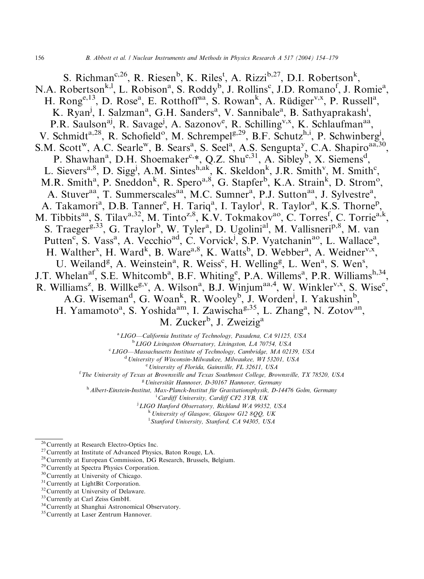S. Richman<sup>c, 26</sup>, R. Riesen<sup>b</sup>, K. Riles<sup>t</sup>, A. Rizzi<sup>b, 27</sup>, D.I. Robertson<sup>k</sup>, N.A. Robertson<sup>k, I</sup>, L. Robison<sup>a</sup>, S. Roddy<sup>b</sup>, J. Rollins<sup>c</sup>, J.D. Romano<sup>f</sup>, J. Romie<sup>a</sup>, H. Rong<sup>e, 13</sup>, D. Rose<sup>a</sup>, E. Rotthoff<sup>aa</sup>, S. Rowan<sup>k</sup>, A. Rüdiger<sup>v, x</sup>, P. Russell<sup>a</sup>, K. Ryan<sup>j</sup>, I. Salzman<sup>a</sup>, G.H. Sanders<sup>a</sup>, V. Sannibale<sup>a</sup>, B. Sathyaprakash<sup>i</sup>, P.R. Saulson<sup>aj</sup>, R. Savage<sup>j</sup>, A. Sazonov<sup>e</sup>, R. Schilling<sup>v,x</sup>, K. Schlaufman<sup>aa</sup>, V. Schmidt<sup>a,28</sup>, R. Schofield<sup>o</sup>, M. Schrempel<sup>g,29</sup>, B.F. Schutz<sup>h,i</sup>, P. Schwinberg<sup>j</sup>, S.M. Scott<sup>w</sup>, A.C. Searle<sup>w</sup>, B. Sears<sup>a</sup>, S. Seel<sup>a</sup>, A.S. Sengupta<sup>y</sup>, C.A. Shapiro<sup>aa,30</sup>, P. Shawhan<sup>a</sup>, D.H. Shoemaker<sup>c,\*</sup>, Q.Z. Shu<sup>e,31</sup>, A. Sibley<sup>b</sup>, X. Siemens<sup>d</sup>, L. Sievers<sup>a, 8</sup>, D. Sigg<sup>i</sup>, A.M. Sintes<sup>h,ak</sup>, K. Skeldon<sup>k</sup>, J.R. Smith<sup>v</sup>, M. Smith<sup>c</sup>, M.R. Smith<sup>a</sup>, P. Sneddon<sup>k</sup>, R. Spero<sup>a,8</sup>, G. Stapfer<sup>b</sup>, K.A. Strain<sup>k</sup>, D. Strom<sup>o</sup>, A. Stuver<sup>aa</sup>, T. Summerscales<sup>aa</sup>, M.C. Sumner<sup>a</sup>, P.J. Sutton<sup>aa</sup>, J. Sylvestre<sup>a</sup>, A. Takamori<sup>a</sup>, D.B. Tanner<sup>e</sup>, H. Tariq<sup>a</sup>, I. Taylor<sup>i</sup>, R. Taylor<sup>a</sup>, K.S. Thorne<sup>p</sup>, M. Tibbits<sup>aa</sup>, S. Tilav<sup>a,32</sup>, M. Tinto<sup>z,8</sup>, K.V. Tokmakov<sup>ao</sup>, C. Torres<sup>f</sup>, C. Torrie<sup>a,k</sup>, S. Traeger<sup>g,33</sup>, G. Traylor<sup>b</sup>, W. Tyler<sup>a</sup>, D. Ugolini<sup>al</sup>, M. Vallisneri<sup>p,8</sup>, M. van Putten<sup>c</sup>, S. Vass<sup>a</sup>, A. Vecchio<sup>ad</sup>, C. Vorvick<sup>j</sup>, S.P. Vyatchanin<sup>ao</sup>, L. Wallace<sup>a</sup>, H. Walther<sup>x</sup>, H. Ward<sup>k</sup>, B. Ware<sup>a,8</sup>, K. Watts<sup>b</sup>, D. Webber<sup>a</sup>, A. Weidner<sup>v,x</sup>, U. Weiland<sup>g</sup>, A. Weinstein<sup>a</sup>, R. Weiss<sup>c</sup>, H. Welling<sup>g</sup>, L. Wen<sup>a</sup>, S. Wen<sup>s</sup>, J.T. Whelan<sup>af</sup>, S.E. Whitcomb<sup>a</sup>, B.F. Whiting<sup>e</sup>, P.A. Willems<sup>a</sup>, P.R. Williams<sup>h,34</sup>, R. Williams<sup>z</sup>, B. Willke<sup>g,v</sup>, A. Wilson<sup>a</sup>, B.J. Winjum<sup>aa,4</sup>, W. Winkler<sup>v,x</sup>, S. Wise<sup>e</sup>, A.G. Wiseman<sup>d</sup>, G. Woan<sup>k</sup>, R. Wooley<sup>b</sup>, J. Worden<sup>j</sup>, I. Yakushin<sup>b</sup>, H. Yamamoto<sup>a</sup>, S. Yoshida<sup>am</sup>, I. Zawischa<sup>g, 35</sup>, L. Zhang<sup>a</sup>, N. Zotov<sup>an</sup>, M. Zucker<sup>b</sup>, J. Zweizig<sup>a</sup>

 $a$ LIGO—California Institute of Technology, Pasadena, CA 91125, USA

**b** LIGO Livingston Observatory, Livingston, LA 70754, USA

<sup>c</sup> LIGO—Massachusetts Institute of Technology, Cambridge, MA 02139, USA

 $d$  University of Wisconsin-Milwaukee, Milwaukee, WI 53201, USA

<sup>e</sup> University of Florida, Gainsville, FL 32611, USA

<sup>f</sup> The University of Texas at Brownsville and Texas Southmost College, Brownsville, TX 78520, USA

<sup>g</sup> Universität Hannover, D-30167 Hannover, Germany

<sup>h</sup> Albert-Einstein-Institut, Max-Planck-Institut für Gravitationsphysik, D-14476 Golm, Germany

<sup>i</sup> Cardiff University, Cardiff CF2 3YB, UK

<sup>j</sup> LIGO Hanford Observatory, Richland WA 99352, USA

 $k$  University of Glasgow, Glasgow G12 8QQ, UK

<sup>1</sup>Stanford University, Stanford, CA 94305, USA

<sup>&</sup>lt;sup>26</sup> Currently at Research Electro-Optics Inc.<br><sup>27</sup> Currently at Institute of Advanced Physics, Baton Rouge, LA.

<sup>&</sup>lt;sup>28</sup> Currently at European Commission, DG Research, Brussels, Belgium. <sup>29</sup> Currently at Spectra Physics Corporation. <sup>30</sup> Currently at University of Chicago. <sup>31</sup> Currently at LightBit Corporation.

<sup>&</sup>lt;sup>32</sup> Currently at University of Delaware.  $33$  Currently at Carl Zeiss GmbH.  $34$  Currently at Shanghai Astronomical Observatory.

<sup>&</sup>lt;sup>35</sup> Currently at Laser Zentrum Hannover.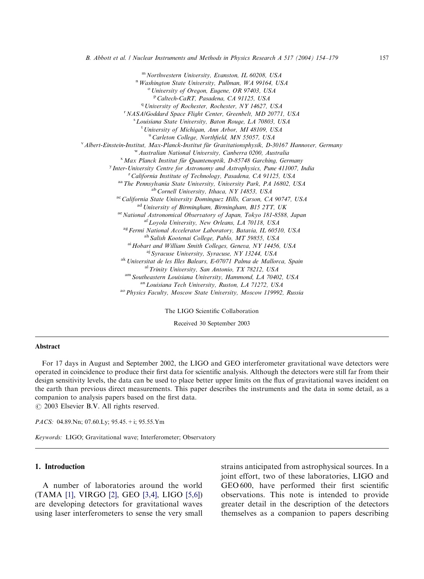B. Abbott et al. / Nuclear Instruments and Methods in Physics Research A 517 (2004) 154–179 157

<sup>m</sup> Northwestern University, Evanston, IL 60208, USA n Washington State University, Pullman, WA 99164, USA <sup>o</sup> University of Oregon, Eugene, OR 97403, USA <sup>p</sup> Caltech-CaRT, Pasadena, CA 91125, USA <sup>q</sup> University of Rochester, Rochester, NY 14627, USA r NASA/Goddard Space Flight Center, Greenbelt, MD 20771, USA s Louisiana State University, Baton Rouge, LA 70803, USA <sup>t</sup> University of Michigan, Ann Arbor, MI 48109, USA <sup>u</sup> Carleton College, Northfield, MN 55057, USA v Albert-Einstein-Institut, Max-Planck-Institut für Gravitationsphysik, D-30167 Hannover, Germany<br>w Australian National University, Canberra 0200, Australia <sup>x</sup> Max Planck Institut für Quantenoptik, D-85748 Garching, Germany  $<sup>9</sup>$  Inter-University Centre for Astronomy and Astrophysics, Pune 411007, India</sup> <sup>z</sup> California Institute of Technology, Pasadena, CA 91125, USA aa The Pennsylvania State University, University Park, PA 16802, USA ab Cornell University, Ithaca, NY 14853, USA ac California State University Dominguez Hills, Carson, CA 90747, USA  $^{ad}$  University of Birmingham, Birmingham, B15 2TT, UK ae National Astronomical Observatory of Japan, Tokyo 181-8588, Japan af Loyola University, New Orleans, LA 70118, USA ag Fermi National Accelerator Laboratory, Batavia, IL 60510, USA ah Salish Kootenai College, Pablo, MT 59855, USA ai Hobart and William Smith Colleges, Geneva, NY 14456, USA aj Syracuse University, Syracuse, NY 13244, USA ak Universitat de les Illes Balears, E-07071 Palma de Mallorca, Spain al Trinity University, San Antonio, TX 78212, USA am Southeastern Louisiana University, Hammond, LA 70402, USA an Louisiana Tech University, Ruston, LA 71272, USA ao Physics Faculty, Moscow State University, Moscow 119992, Russia

The LIGO Scientific Collaboration

Received 30 September 2003

#### Abstract

For 17 days in August and September 2002, the LIGO and GEO interferometer gravitational wave detectors were operated in coincidence to produce their first data for scientific analysis. Although the detectors were still far from their design sensitivity levels, the data can be used to place better upper limits on the flux of gravitational waves incident on the earth than previous direct measurements. This paper describes the instruments and the data in some detail, as a companion to analysis papers based on the first data.

 $\odot$  2003 Elsevier B.V. All rights reserved.

PACS: 04.89.Nn; 07.60.Ly; 95.45.+i; 95.55.Ym

Keywords: LIGO; Gravitational wave; Interferometer; Observatory

#### 1. Introduction

A number of laboratories around the world (TAMA [\[1\]](#page-26-0), VIRGO [\[2\]](#page-26-0), GEO [\[3,4\]](#page-26-0), LIGO [\[5,6\]\)](#page-26-0) are developing detectors for gravitational waves using laser interferometers to sense the very small strains anticipated from astrophysical sources. In a joint effort, two of these laboratories, LIGO and GEO 600, have performed their first scientific observations. This note is intended to provide greater detail in the description of the detectors themselves as a companion to papers describing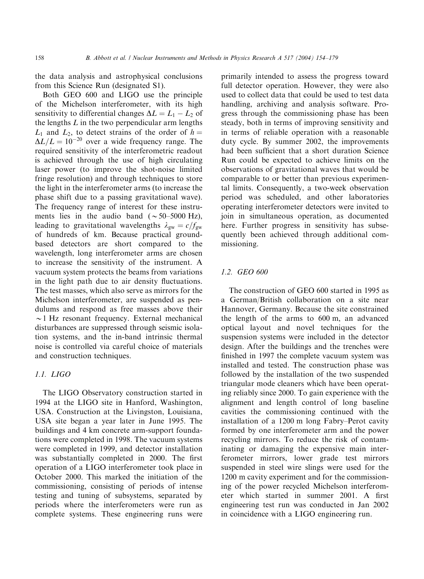the data analysis and astrophysical conclusions from this Science Run (designated S1).

Both GEO 600 and LIGO use the principle of the Michelson interferometer, with its high sensitivity to differential changes  $\Delta L = L_1 - L_2$  of the lengths  $L$  in the two perpendicular arm lengths  $L_1$  and  $L_2$ , to detect strains of the order of  $h =$  $\Delta L/L = 10^{-20}$  over a wide frequency range. The required sensitivity of the interferometric readout is achieved through the use of high circulating laser power (to improve the shot-noise limited fringe resolution) and through techniques to store the light in the interferometer arms (to increase the phase shift due to a passing gravitational wave). The frequency range of interest for these instruments lies in the audio band ( $\sim$  50–5000 Hz), leading to gravitational wavelengths  $\lambda_{gw} = c/f_{gw}$ of hundreds of km. Because practical groundbased detectors are short compared to the wavelength, long interferometer arms are chosen to increase the sensitivity of the instrument. A vacuum system protects the beams from variations in the light path due to air density fluctuations. The test masses, which also serve as mirrors for the Michelson interferometer, are suspended as pendulums and respond as free masses above their  $\sim$  1 Hz resonant frequency. External mechanical disturbances are suppressed through seismic isolation systems, and the in-band intrinsic thermal noise is controlled via careful choice of materials and construction techniques.

#### 1.1. LIGO

The LIGO Observatory construction started in 1994 at the LIGO site in Hanford, Washington, USA. Construction at the Livingston, Louisiana, USA site began a year later in June 1995. The buildings and 4 km concrete arm-support foundations were completed in 1998. The vacuum systems were completed in 1999, and detector installation was substantially completed in 2000. The first operation of a LIGO interferometer took place in October 2000. This marked the initiation of the commissioning, consisting of periods of intense testing and tuning of subsystems, separated by periods where the interferometers were run as complete systems. These engineering runs were

primarily intended to assess the progress toward full detector operation. However, they were also used to collect data that could be used to test data handling, archiving and analysis software. Progress through the commissioning phase has been steady, both in terms of improving sensitivity and in terms of reliable operation with a reasonable duty cycle. By summer 2002, the improvements had been sufficient that a short duration Science Run could be expected to achieve limits on the observations of gravitational waves that would be comparable to or better than previous experimental limits. Consequently, a two-week observation period was scheduled, and other laboratories operating interferometer detectors were invited to join in simultaneous operation, as documented here. Further progress in sensitivity has subsequently been achieved through additional commissioning.

#### 1.2. GEO 600

The construction of GEO 600 started in 1995 as a German/British collaboration on a site near Hannover, Germany. Because the site constrained the length of the arms to 600 m; an advanced optical layout and novel techniques for the suspension systems were included in the detector design. After the buildings and the trenches were finished in 1997 the complete vacuum system was installed and tested. The construction phase was followed by the installation of the two suspended triangular mode cleaners which have been operating reliably since 2000. To gain experience with the alignment and length control of long baseline cavities the commissioning continued with the installation of a 1200 m long Fabry–Perot cavity formed by one interferometer arm and the power recycling mirrors. To reduce the risk of contaminating or damaging the expensive main interferometer mirrors, lower grade test mirrors suspended in steel wire slings were used for the 1200 m cavity experiment and for the commissioning of the power recycled Michelson interferometer which started in summer 2001. A first engineering test run was conducted in Jan 2002 in coincidence with a LIGO engineering run.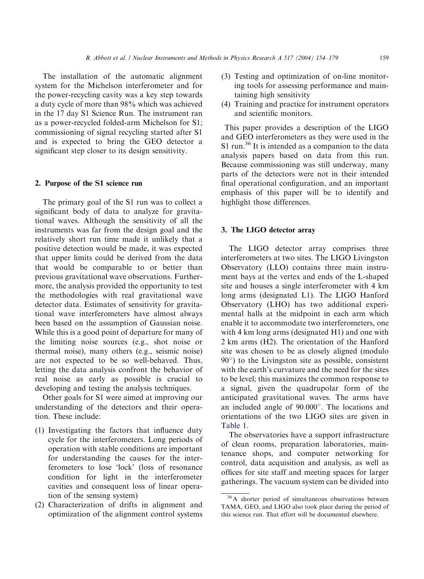The installation of the automatic alignment system for the Michelson interferometer and for the power-recycling cavity was a key step towards a duty cycle of more than 98% which was achieved in the 17 day S1 Science Run. The instrument ran as a power-recycled folded-arm Michelson for S1; commissioning of signal recycling started after S1 and is expected to bring the GEO detector a significant step closer to its design sensitivity.

#### 2. Purpose of the S1 science run

The primary goal of the S1 run was to collect a significant body of data to analyze for gravitational waves. Although the sensitivity of all the instruments was far from the design goal and the relatively short run time made it unlikely that a positive detection would be made, it was expected that upper limits could be derived from the data that would be comparable to or better than previous gravitational wave observations. Furthermore, the analysis provided the opportunity to test the methodologies with real gravitational wave detector data. Estimates of sensitivity for gravitational wave interferometers have almost always been based on the assumption of Gaussian noise. While this is a good point of departure for many of the limiting noise sources (e.g., shot noise or thermal noise), many others (e.g., seismic noise) are not expected to be so well-behaved. Thus, letting the data analysis confront the behavior of real noise as early as possible is crucial to developing and testing the analysis techniques.

Other goals for S1 were aimed at improving our understanding of the detectors and their operation. These include:

- (1) Investigating the factors that influence duty cycle for the interferometers. Long periods of operation with stable conditions are important for understanding the causes for the interferometers to lose 'lock' (loss of resonance condition for light in the interferometer cavities and consequent loss of linear operation of the sensing system)
- (2) Characterization of drifts in alignment and optimization of the alignment control systems
- (3) Testing and optimization of on-line monitoring tools for assessing performance and maintaining high sensitivity
- (4) Training and practice for instrument operators and scientific monitors.

This paper provides a description of the LIGO and GEO interferometers as they were used in the S1 run.<sup>36</sup> It is intended as a companion to the data analysis papers based on data from this run. Because commissioning was still underway, many parts of the detectors were not in their intended final operational configuration, and an important emphasis of this paper will be to identify and highlight those differences.

#### 3. The LIGO detector array

The LIGO detector array comprises three interferometers at two sites. The LIGO Livingston Observatory (LLO) contains three main instrument bays at the vertex and ends of the L-shaped site and houses a single interferometer with 4 km long arms (designated L1). The LIGO Hanford Observatory (LHO) has two additional experimental halls at the midpoint in each arm which enable it to accommodate two interferometers, one with 4 km long arms (designated H1) and one with 2 km arms (H2). The orientation of the Hanford site was chosen to be as closely aligned (modulo  $90^{\circ}$ ) to the Livingston site as possible, consistent with the earth's curvature and the need for the sites to be level; this maximizes the common response to a signal, given the quadrupolar form of the anticipated gravitational waves. The arms have an included angle of  $90.000^\circ$ . The locations and orientations of the two LIGO sites are given in [Table 1](#page-8-0).

The observatories have a support infrastructure of clean rooms, preparation laboratories, maintenance shops, and computer networking for control, data acquisition and analysis, as well as offices for site staff and meeting spaces for larger gatherings. The vacuum system can be divided into

<sup>&</sup>lt;sup>36</sup>A shorter period of simultaneous observations between TAMA, GEO, and LIGO also took place during the period of this science run. That effort will be documented elsewhere.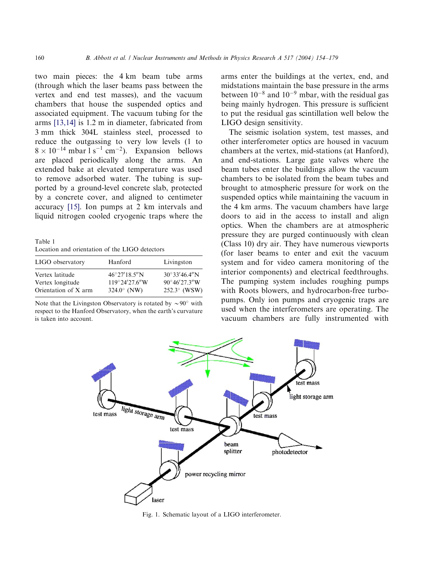two main pieces: the 4 km beam tube arms (through which the laser beams pass between the vertex and end test masses), and the vacuum chambers that house the suspended optics and associated equipment. The vacuum tubing for the arms [\[13,14\]](#page-27-0) is 1:2 m in diameter, fabricated from 3 mm thick 304L stainless steel, processed to reduce the outgassing to very low levels (1 to  $8 \times 10^{-14}$  mbar  $1 \text{ s}^{-1}$  cm<sup>-2</sup>). Expansion bellows are placed periodically along the arms. An extended bake at elevated temperature was used to remove adsorbed water. The tubing is supported by a ground-level concrete slab, protected by a concrete cover, and aligned to centimeter accuracy [\[15\]](#page-27-0). Ion pumps at 2 km intervals and liquid nitrogen cooled cryogenic traps where the

Table 1 Location and orientation of the LIGO detectors

| LIGO observatory     | Hanford                 | Livingston              |
|----------------------|-------------------------|-------------------------|
| Vertex latitude      | $46^{\circ}27'18.5''$ N | $30^{\circ}33'46.4''$ N |
| Vertex longitude     | $119^{\circ}24'27.6''W$ | $90^{\circ}46'27.3''$ W |
| Orientation of X arm | $324.0^{\circ}$ (NW)    | $252.3^{\circ}$ (WSW)   |

Note that the Livingston Observatory is rotated by  $\sim 90^\circ$  with respect to the Hanford Observatory, when the earth's curvature is taken into account.

arms enter the buildings at the vertex, end, and midstations maintain the base pressure in the arms between  $10^{-8}$  and  $10^{-9}$  mbar, with the residual gas being mainly hydrogen. This pressure is sufficient to put the residual gas scintillation well below the LIGO design sensitivity.

The seismic isolation system, test masses, and other interferometer optics are housed in vacuum chambers at the vertex, mid-stations (at Hanford), and end-stations. Large gate valves where the beam tubes enter the buildings allow the vacuum chambers to be isolated from the beam tubes and brought to atmospheric pressure for work on the suspended optics while maintaining the vacuum in the 4 km arms. The vacuum chambers have large doors to aid in the access to install and align optics. When the chambers are at atmospheric pressure they are purged continuously with clean (Class 10) dry air. They have numerous viewports (for laser beams to enter and exit the vacuum system and for video camera monitoring of the interior components) and electrical feedthroughs. The pumping system includes roughing pumps with Roots blowers, and hydrocarbon-free turbopumps. Only ion pumps and cryogenic traps are used when the interferometers are operating. The vacuum chambers are fully instrumented with



Fig. 1. Schematic layout of a LIGO interferometer.

<span id="page-8-0"></span>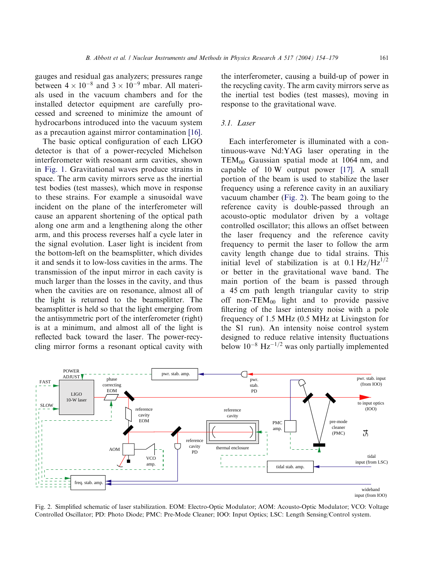gauges and residual gas analyzers; pressures range between  $4 \times 10^{-8}$  and  $3 \times 10^{-9}$  mbar. All materials used in the vacuum chambers and for the installed detector equipment are carefully processed and screened to minimize the amount of hydrocarbons introduced into the vacuum system as a precaution against mirror contamination [\[16\]](#page-27-0).

The basic optical configuration of each LIGO detector is that of a power-recycled Michelson interferometer with resonant arm cavities, shown in [Fig. 1](#page-8-0). Gravitational waves produce strains in space. The arm cavity mirrors serve as the inertial test bodies (test masses), which move in response to these strains. For example a sinusoidal wave incident on the plane of the interferometer will cause an apparent shortening of the optical path along one arm and a lengthening along the other arm, and this process reverses half a cycle later in the signal evolution. Laser light is incident from the bottom-left on the beamsplitter, which divides it and sends it to low-loss cavities in the arms. The transmission of the input mirror in each cavity is much larger than the losses in the cavity, and thus when the cavities are on resonance, almost all of the light is returned to the beamsplitter. The beamsplitter is held so that the light emerging from the antisymmetric port of the interferometer (right) is at a minimum, and almost all of the light is reflected back toward the laser. The power-recycling mirror forms a resonant optical cavity with

the interferometer, causing a build-up of power in the recycling cavity. The arm cavity mirrors serve as the inertial test bodies (test masses), moving in response to the gravitational wave.

#### 3.1. Laser

Each interferometer is illuminated with a continuous-wave Nd:YAG laser operating in the  $TEM_{00}$  Gaussian spatial mode at 1064 nm, and capable of 10 W output power [\[17\].](#page-27-0) A small portion of the beam is used to stabilize the laser frequency using a reference cavity in an auxiliary vacuum chamber (Fig. 2). The beam going to the reference cavity is double-passed through an acousto-optic modulator driven by a voltage controlled oscillator; this allows an offset between the laser frequency and the reference cavity frequency to permit the laser to follow the arm cavity length change due to tidal strains. This initial level of stabilization is at 0.1 Hz/Hz $^{1/2}$ or better in the gravitational wave band. The main portion of the beam is passed through a 45 cm path length triangular cavity to strip off non-TEM $_{00}$  light and to provide passive filtering of the laser intensity noise with a pole frequency of 1:5 MHz (0:5 MHz at Livingston for the S1 run). An intensity noise control system designed to reduce relative intensity fluctuations below  $10^{-8}$  Hz<sup>-1/2</sup> was only partially implemented



Fig. 2. Simplified schematic of laser stabilization. EOM: Electro-Optic Modulator; AOM: Acousto-Optic Modulator; VCO: Voltage Controlled Oscillator; PD: Photo Diode; PMC: Pre-Mode Cleaner; IOO: Input Optics; LSC: Length Sensing/Control system.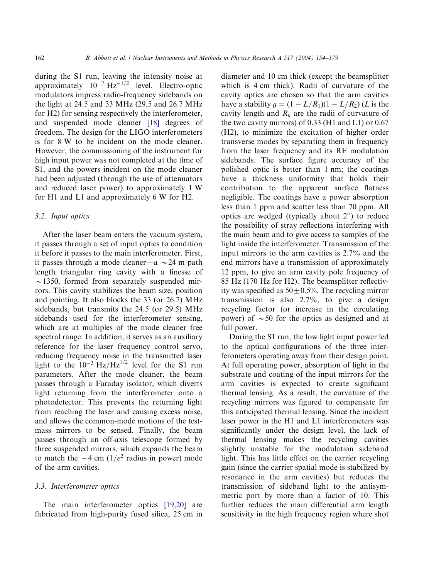during the S1 run, leaving the intensity noise at approximately  $10^{-7}$  Hz<sup>-1/2</sup> level. Electro-optic modulators impress radio-frequency sidebands on the light at 24.5 and 33 MHz (29.5 and 26:7 MHz for H2) for sensing respectively the interferometer, and suspended mode cleaner [\[18\]](#page-27-0) degrees of freedom. The design for the LIGO interferometers is for 8 W to be incident on the mode cleaner. However, the commissioning of the instrument for high input power was not completed at the time of S1, and the powers incident on the mode cleaner had been adjusted (through the use of attenuators and reduced laser power) to approximately 1 W for H1 and L1 and approximately 6 W for H2.

#### 3.2. Input optics

After the laser beam enters the vacuum system, it passes through a set of input optics to condition it before it passes to the main interferometer. First, it passes through a mode cleaner—a  $\sim$  24 m path length triangular ring cavity with a finesse of  $\sim$ 1350, formed from separately suspended mirrors. This cavity stabilizes the beam size, position and pointing. It also blocks the 33 (or 26.7) MHz sidebands, but transmits the 24.5 (or 29.5) MHz sidebands used for the interferometer sensing, which are at multiples of the mode cleaner free spectral range. In addition, it serves as an auxiliary reference for the laser frequency control servo, reducing frequency noise in the transmitted laser light to the  $10^{-3}$  Hz/Hz<sup>1/2</sup> level for the S1 run parameters. After the mode cleaner, the beam passes through a Faraday isolator, which diverts light returning from the interferometer onto a photodetector. This prevents the returning light from reaching the laser and causing excess noise, and allows the common-mode motions of the testmass mirrors to be sensed. Finally, the beam passes through an off-axis telescope formed by three suspended mirrors, which expands the beam to match the  $\sim$  4 cm (1/e<sup>2</sup> radius in power) mode of the arm cavities.

#### 3.3. Interferometer optics

The main interferometer optics [\[19,20\]](#page-27-0) are fabricated from high-purity fused silica, 25 cm in diameter and 10 cm thick (except the beamsplitter which is 4 cm thick). Radii of curvature of the cavity optics are chosen so that the arm cavities have a stability  $g = (1 - L/R_1)(1 - L/R_2)$  (L is the cavity length and  $R_n$  are the radii of curvature of the two cavity mirrors) of 0.33 (H1 and L1) or 0.67 (H2), to minimize the excitation of higher order transverse modes by separating them in frequency from the laser frequency and its RF modulation sidebands. The surface figure accuracy of the polished optic is better than 1 nm; the coatings have a thickness uniformity that holds their contribution to the apparent surface flatness negligible. The coatings have a power absorption less than 1 ppm and scatter less than 70 ppm: All optics are wedged (typically about  $2^{\circ}$ ) to reduce the possibility of stray reflections interfering with the main beam and to give access to samples of the light inside the interferometer. Transmission of the input mirrors to the arm cavities is 2.7% and the end mirrors have a transmission of approximately 12 ppm; to give an arm cavity pole frequency of 85 Hz (170 Hz for H2). The beamsplitter reflectivity was specified as  $50 \pm 0.5$ %. The recycling mirror transmission is also 2.7%, to give a design recycling factor (or increase in the circulating power) of  $\sim$  50 for the optics as designed and at full power.

During the S1 run, the low light input power led to the optical configurations of the three interferometers operating away from their design point. At full operating power, absorption of light in the substrate and coating of the input mirrors for the arm cavities is expected to create significant thermal lensing. As a result, the curvature of the recycling mirrors was figured to compensate for this anticipated thermal lensing. Since the incident laser power in the H1 and L1 interferometers was significantly under the design level, the lack of thermal lensing makes the recycling cavities slightly unstable for the modulation sideband light. This has little effect on the carrier recycling gain (since the carrier spatial mode is stabilized by resonance in the arm cavities) but reduces the transmission of sideband light to the antisymmetric port by more than a factor of 10. This further reduces the main differential arm length sensitivity in the high frequency region where shot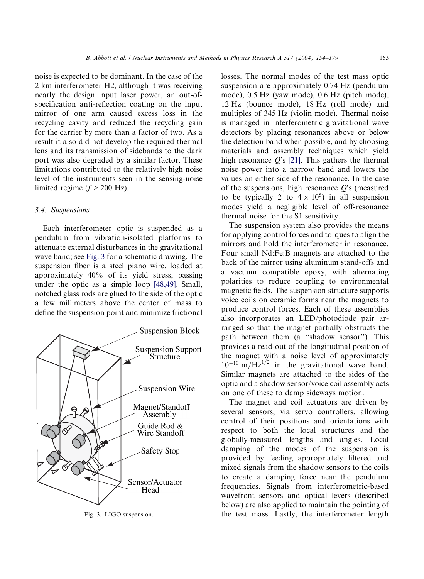noise is expected to be dominant. In the case of the 2 km interferometer H2, although it was receiving nearly the design input laser power, an out-ofspecification anti-reflection coating on the input mirror of one arm caused excess loss in the recycling cavity and reduced the recycling gain for the carrier by more than a factor of two. As a result it also did not develop the required thermal lens and its transmission of sidebands to the dark port was also degraded by a similar factor. These limitations contributed to the relatively high noise level of the instruments seen in the sensing-noise limited regime  $(f > 200 \text{ Hz})$ .

#### 3.4. Suspensions

Each interferometer optic is suspended as a pendulum from vibration-isolated platforms to attenuate external disturbances in the gravitational wave band; see Fig. 3 for a schematic drawing. The suspension fiber is a steel piano wire, loaded at approximately 40% of its yield stress, passing under the optic as a simple loop [\[48,49\].](#page-27-0) Small, notched glass rods are glued to the side of the optic a few millimeters above the center of mass to define the suspension point and minimize frictional



Fig. 3. LIGO suspension.

losses. The normal modes of the test mass optic suspension are approximately 0:74 Hz (pendulum mode), 0:5 Hz (yaw mode), 0:6 Hz (pitch mode), 12 Hz (bounce mode), 18 Hz (roll mode) and multiples of 345 Hz (violin mode). Thermal noise is managed in interferometric gravitational wave detectors by placing resonances above or below the detection band when possible, and by choosing materials and assembly techniques which yield high resonance  $\hat{O}$ 's [\[21\].](#page-27-0) This gathers the thermal noise power into a narrow band and lowers the values on either side of the resonance. In the case of the suspensions, high resonance  $O$ 's (measured to be typically 2 to  $4 \times 10^5$  in all suspension modes yield a negligible level of off-resonance thermal noise for the S1 sensitivity.

The suspension system also provides the means for applying control forces and torques to align the mirrors and hold the interferometer in resonance. Four small Nd:Fe:B magnets are attached to the back of the mirror using aluminum stand-offs and a vacuum compatible epoxy, with alternating polarities to reduce coupling to environmental magnetic fields. The suspension structure supports voice coils on ceramic forms near the magnets to produce control forces. Each of these assemblies also incorporates an LED/photodiode pair arranged so that the magnet partially obstructs the path between them (a ''shadow sensor''). This provides a read-out of the longitudinal position of the magnet with a noise level of approximately  $10^{-10}$  m/Hz<sup>1/2</sup> in the gravitational wave band. Similar magnets are attached to the sides of the optic and a shadow sensor/voice coil assembly acts on one of these to damp sideways motion.

The magnet and coil actuators are driven by several sensors, via servo controllers, allowing control of their positions and orientations with respect to both the local structures and the globally-measured lengths and angles. Local damping of the modes of the suspension is provided by feeding appropriately filtered and mixed signals from the shadow sensors to the coils to create a damping force near the pendulum frequencies. Signals from interferometric-based wavefront sensors and optical levers (described below) are also applied to maintain the pointing of the test mass. Lastly, the interferometer length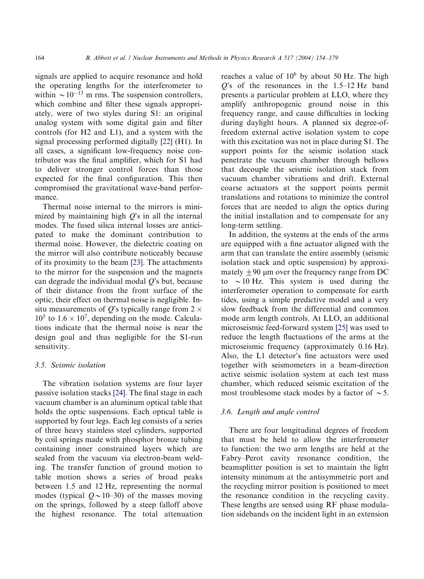signals are applied to acquire resonance and hold the operating lengths for the interferometer to within  $\sim 10^{-13}$  m rms. The suspension controllers, which combine and filter these signals appropriately, were of two styles during S1: an original analog system with some digital gain and filter controls (for H2 and L1), and a system with the signal processing performed digitally [\[22\]](#page-27-0) (H1). In all cases, a significant low-frequency noise contributor was the final amplifier, which for S1 had to deliver stronger control forces than those expected for the final configuration. This then compromised the gravitational wave-band performance.

Thermal noise internal to the mirrors is minimized by maintaining high  $Q$ 's in all the internal modes. The fused silica internal losses are anticipated to make the dominant contribution to thermal noise. However, the dielectric coating on the mirror will also contribute noticeably because of its proximity to the beam [\[23\]](#page-27-0). The attachments to the mirror for the suspension and the magnets can degrade the individual modal  $O$ 's but, because of their distance from the front surface of the optic, their effect on thermal noise is negligible. Insitu measurements of Q's typically range from  $2 \times$  $10^5$  to  $1.6 \times 10^7$ , depending on the mode. Calculations indicate that the thermal noise is near the design goal and thus negligible for the S1-run sensitivity.

#### 3.5. Seismic isolation

The vibration isolation systems are four layer passive isolation stacks [\[24\].](#page-27-0) The final stage in each vacuum chamber is an aluminum optical table that holds the optic suspensions. Each optical table is supported by four legs. Each leg consists of a series of three heavy stainless steel cylinders, supported by coil springs made with phosphor bronze tubing containing inner constrained layers which are sealed from the vacuum via electron-beam welding. The transfer function of ground motion to table motion shows a series of broad peaks between 1.5 and 12 Hz, representing the normal modes (typical  $Q \sim 10$ –30) of the masses moving on the springs, followed by a steep falloff above the highest resonance. The total attenuation

reaches a value of  $10^6$  by about 50 Hz. The high  $Q$ 's of the resonances in the 1.5–12 Hz band presents a particular problem at LLO, where they amplify anthropogenic ground noise in this frequency range, and cause difficulties in locking during daylight hours. A planned six degree-offreedom external active isolation system to cope with this excitation was not in place during S1. The support points for the seismic isolation stack penetrate the vacuum chamber through bellows that decouple the seismic isolation stack from vacuum chamber vibrations and drift. External coarse actuators at the support points permit translations and rotations to minimize the control forces that are needed to align the optics during the initial installation and to compensate for any long-term settling.

In addition, the systems at the ends of the arms are equipped with a fine actuator aligned with the arm that can translate the entire assembly (seismic isolation stack and optic suspension) by approximately  $+90 \mu$ m over the frequency range from DC to  $\sim$  10 Hz. This system is used during the interferometer operation to compensate for earth tides, using a simple predictive model and a very slow feedback from the differential and common mode arm length controls. At LLO, an additional microseismic feed-forward system [\[25\]](#page-27-0) was used to reduce the length fluctuations of the arms at the microseismic frequency (approximately 0.16 Hz). Also, the L1 detector's fine actuators were used together with seismometers in a beam-direction active seismic isolation system at each test mass chamber, which reduced seismic excitation of the most troublesome stack modes by a factor of  $\sim$  5.

#### 3.6. Length and angle control

There are four longitudinal degrees of freedom that must be held to allow the interferometer to function: the two arm lengths are held at the Fabry–Perot cavity resonance condition, the beamsplitter position is set to maintain the light intensity minimum at the antisymmetric port and the recycling mirror position is positioned to meet the resonance condition in the recycling cavity. These lengths are sensed using RF phase modulation sidebands on the incident light in an extension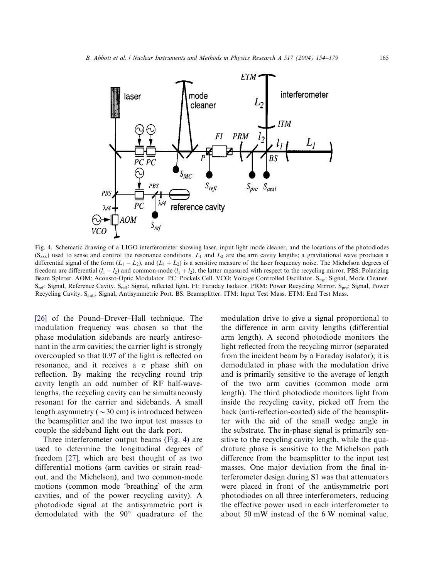

Fig. 4. Schematic drawing of a LIGO interferometer showing laser, input light mode cleaner, and the locations of the photodiodes  $(S_{xxx})$  used to sense and control the resonance conditions.  $L_1$  and  $L_2$  are the arm cavity lengths; a gravitational wave produces a differential signal of the form  $(L_1 - L_2)$ , and  $(L_1 + L_2)$  is a sensitive measure of the laser frequency noise. The Michelson degrees of freedom are differential  $(l_1 - l_2)$  and common-mode  $(l_1 + l_2)$ , the latter measured with respect to the recycling mirror. PBS: Polarizing Beam Splitter. AOM: Acousto-Optic Modulator. PC: Pockels Cell. VCO: Voltage Controlled Oscillator. S<sub>mc</sub>: Signal, Mode Cleaner. S<sub>ref</sub>: Signal, Reference Cavity. S<sub>refl</sub>: Signal, reflected light. FI: Faraday Isolator. PRM: Power Recycling Mirror. S<sub>prc</sub>: Signal, Power Recycling Cavity. Santi: Signal, Antisymmetric Port. BS: Beamsplitter. ITM: Input Test Mass. ETM: End Test Mass.

[\[26\]](#page-27-0) of the Pound–Drever–Hall technique. The modulation frequency was chosen so that the phase modulation sidebands are nearly antiresonant in the arm cavities; the carrier light is strongly overcoupled so that 0.97 of the light is reflected on resonance, and it receives a  $\pi$  phase shift on reflection. By making the recycling round trip cavity length an odd number of RF half-wavelengths, the recycling cavity can be simultaneously resonant for the carrier and sidebands. A small length asymmetry ( $\sim$ 30 cm) is introduced between the beamsplitter and the two input test masses to couple the sideband light out the dark port.

Three interferometer output beams (Fig. 4) are used to determine the longitudinal degrees of freedom [\[27\]](#page-27-0), which are best thought of as two differential motions (arm cavities or strain readout, and the Michelson), and two common-mode motions (common mode 'breathing' of the arm cavities, and of the power recycling cavity). A photodiode signal at the antisymmetric port is demodulated with the  $90^\circ$  quadrature of the

modulation drive to give a signal proportional to the difference in arm cavity lengths (differential arm length). A second photodiode monitors the light reflected from the recycling mirror (separated from the incident beam by a Faraday isolator); it is demodulated in phase with the modulation drive and is primarily sensitive to the average of length of the two arm cavities (common mode arm length). The third photodiode monitors light from inside the recycling cavity, picked off from the back (anti-reflection-coated) side of the beamsplitter with the aid of the small wedge angle in the substrate. The in-phase signal is primarily sensitive to the recycling cavity length, while the quadrature phase is sensitive to the Michelson path difference from the beamsplitter to the input test masses. One major deviation from the final interferometer design during S1 was that attenuators were placed in front of the antisymmetric port photodiodes on all three interferometers, reducing the effective power used in each interferometer to about 50 mW instead of the 6 W nominal value.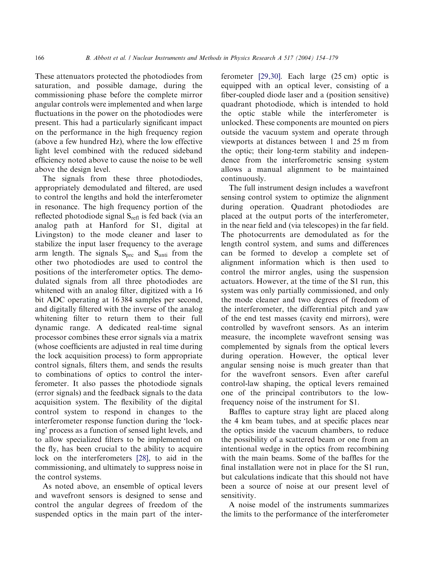These attenuators protected the photodiodes from saturation, and possible damage, during the commissioning phase before the complete mirror angular controls were implemented and when large fluctuations in the power on the photodiodes were present. This had a particularly significant impact on the performance in the high frequency region (above a few hundred Hz), where the low effective light level combined with the reduced sideband efficiency noted above to cause the noise to be well above the design level.

The signals from these three photodiodes, appropriately demodulated and filtered, are used to control the lengths and hold the interferometer in resonance. The high frequency portion of the reflected photodiode signal S<sub>refl</sub> is fed back (via an analog path at Hanford for S1, digital at Livingston) to the mode cleaner and laser to stabilize the input laser frequency to the average arm length. The signals  $S_{\text{pre}}$  and  $S_{\text{anti}}$  from the other two photodiodes are used to control the positions of the interferometer optics. The demodulated signals from all three photodiodes are whitened with an analog filter, digitized with a 16 bit ADC operating at 16 384 samples per second, and digitally filtered with the inverse of the analog whitening filter to return them to their full dynamic range. A dedicated real-time signal processor combines these error signals via a matrix (whose coefficients are adjusted in real time during the lock acquisition process) to form appropriate control signals, filters them, and sends the results to combinations of optics to control the interferometer. It also passes the photodiode signals (error signals) and the feedback signals to the data acquisition system. The flexibility of the digital control system to respond in changes to the interferometer response function during the 'locking' process as a function of sensed light levels, and to allow specialized filters to be implemented on the fly, has been crucial to the ability to acquire lock on the interferometers [\[28\],](#page-27-0) to aid in the commissioning, and ultimately to suppress noise in the control systems.

As noted above, an ensemble of optical levers and wavefront sensors is designed to sense and control the angular degrees of freedom of the suspended optics in the main part of the interferometer  $[29,30]$ . Each large  $(25 \text{ cm})$  optic is equipped with an optical lever, consisting of a fiber-coupled diode laser and a (position sensitive) quadrant photodiode, which is intended to hold the optic stable while the interferometer is unlocked. These components are mounted on piers outside the vacuum system and operate through viewports at distances between 1 and 25 m from the optic; their long-term stability and independence from the interferometric sensing system allows a manual alignment to be maintained continuously.

The full instrument design includes a wavefront sensing control system to optimize the alignment during operation. Quadrant photodiodes are placed at the output ports of the interferometer, in the near field and (via telescopes) in the far field. The photocurrents are demodulated as for the length control system, and sums and differences can be formed to develop a complete set of alignment information which is then used to control the mirror angles, using the suspension actuators. However, at the time of the S1 run, this system was only partially commissioned, and only the mode cleaner and two degrees of freedom of the interferometer, the differential pitch and yaw of the end test masses (cavity end mirrors), were controlled by wavefront sensors. As an interim measure, the incomplete wavefront sensing was complemented by signals from the optical levers during operation. However, the optical lever angular sensing noise is much greater than that for the wavefront sensors. Even after careful control-law shaping, the optical levers remained one of the principal contributors to the lowfrequency noise of the instrument for S1.

Baffles to capture stray light are placed along the 4 km beam tubes, and at specific places near the optics inside the vacuum chambers, to reduce the possibility of a scattered beam or one from an intentional wedge in the optics from recombining with the main beams. Some of the baffles for the final installation were not in place for the S1 run, but calculations indicate that this should not have been a source of noise at our present level of sensitivity.

A noise model of the instruments summarizes the limits to the performance of the interferometer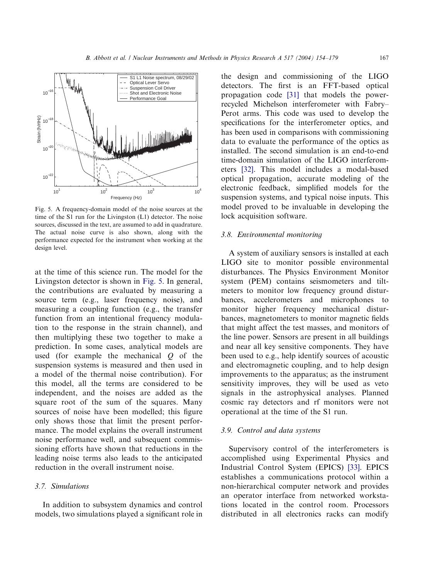

Fig. 5. A frequency-domain model of the noise sources at the time of the S1 run for the Livingston (L1) detector. The noise sources, discussed in the text, are assumed to add in quadrature. The actual noise curve is also shown, along with the performance expected for the instrument when working at the design level.

at the time of this science run. The model for the Livingston detector is shown in Fig. 5. In general, the contributions are evaluated by measuring a source term (e.g., laser frequency noise), and measuring a coupling function (e.g., the transfer function from an intentional frequency modulation to the response in the strain channel), and then multiplying these two together to make a prediction. In some cases, analytical models are used (for example the mechanical  $\hat{O}$  of the suspension systems is measured and then used in a model of the thermal noise contribution). For this model, all the terms are considered to be independent, and the noises are added as the square root of the sum of the squares. Many sources of noise have been modelled; this figure only shows those that limit the present performance. The model explains the overall instrument noise performance well, and subsequent commissioning efforts have shown that reductions in the leading noise terms also leads to the anticipated reduction in the overall instrument noise.

#### 3.7. Simulations

In addition to subsystem dynamics and control models, two simulations played a significant role in

the design and commissioning of the LIGO detectors. The first is an FFT-based optical propagation code [\[31\]](#page-27-0) that models the powerrecycled Michelson interferometer with Fabry– Perot arms. This code was used to develop the specifications for the interferometer optics, and has been used in comparisons with commissioning data to evaluate the performance of the optics as installed. The second simulation is an end-to-end time-domain simulation of the LIGO interferometers [\[32\]](#page-27-0). This model includes a modal-based optical propagation, accurate modeling of the electronic feedback, simplified models for the suspension systems, and typical noise inputs. This model proved to be invaluable in developing the lock acquisition software.

#### 3.8. Environmental monitoring

A system of auxiliary sensors is installed at each LIGO site to monitor possible environmental disturbances. The Physics Environment Monitor system (PEM) contains seismometers and tiltmeters to monitor low frequency ground disturbances, accelerometers and microphones to monitor higher frequency mechanical disturbances, magnetometers to monitor magnetic fields that might affect the test masses, and monitors of the line power. Sensors are present in all buildings and near all key sensitive components. They have been used to e.g., help identify sources of acoustic and electromagnetic coupling, and to help design improvements to the apparatus; as the instrument sensitivity improves, they will be used as veto signals in the astrophysical analyses. Planned cosmic ray detectors and rf monitors were not operational at the time of the S1 run.

#### 3.9. Control and data systems

Supervisory control of the interferometers is accomplished using Experimental Physics and Industrial Control System (EPICS) [\[33\].](#page-27-0) EPICS establishes a communications protocol within a non-hierarchical computer network and provides an operator interface from networked workstations located in the control room. Processors distributed in all electronics racks can modify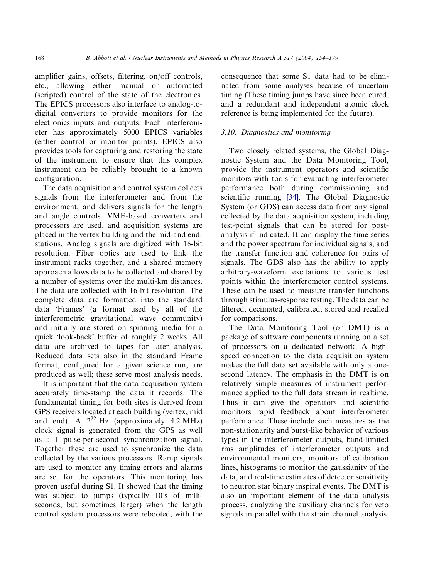amplifier gains, offsets, filtering, on/off controls, etc., allowing either manual or automated (scripted) control of the state of the electronics. The EPICS processors also interface to analog-todigital converters to provide monitors for the electronics inputs and outputs. Each interferometer has approximately 5000 EPICS variables (either control or monitor points). EPICS also provides tools for capturing and restoring the state of the instrument to ensure that this complex instrument can be reliably brought to a known configuration.

The data acquisition and control system collects signals from the interferometer and from the environment, and delivers signals for the length and angle controls. VME-based converters and processors are used, and acquisition systems are placed in the vertex building and the mid-and endstations. Analog signals are digitized with 16-bit resolution. Fiber optics are used to link the instrument racks together, and a shared memory approach allows data to be collected and shared by a number of systems over the multi-km distances. The data are collected with 16-bit resolution. The complete data are formatted into the standard data 'Frames' (a format used by all of the interferometric gravitational wave community) and initially are stored on spinning media for a quick 'look-back' buffer of roughly 2 weeks. All data are archived to tapes for later analysis. Reduced data sets also in the standard Frame format, configured for a given science run, are produced as well; these serve most analysis needs.

It is important that the data acquisition system accurately time-stamp the data it records. The fundamental timing for both sites is derived from GPS receivers located at each building (vertex, mid and end). A  $2^{22}$  Hz (approximately 4.2 MHz) clock signal is generated from the GPS as well as a 1 pulse-per-second synchronization signal. Together these are used to synchronize the data collected by the various processors. Ramp signals are used to monitor any timing errors and alarms are set for the operators. This monitoring has proven useful during S1. It showed that the timing was subject to jumps (typically 10's of milliseconds, but sometimes larger) when the length control system processors were rebooted, with the consequence that some S1 data had to be eliminated from some analyses because of uncertain timing (These timing jumps have since been cured, and a redundant and independent atomic clock reference is being implemented for the future).

#### 3.10. Diagnostics and monitoring

Two closely related systems, the Global Diagnostic System and the Data Monitoring Tool, provide the instrument operators and scientific monitors with tools for evaluating interferometer performance both during commissioning and scientific running [\[34\]](#page-27-0). The Global Diagnostic System (or GDS) can access data from any signal collected by the data acquisition system, including test-point signals that can be stored for postanalysis if indicated. It can display the time series and the power spectrum for individual signals, and the transfer function and coherence for pairs of signals. The GDS also has the ability to apply arbitrary-waveform excitations to various test points within the interferometer control systems. These can be used to measure transfer functions through stimulus-response testing. The data can be filtered, decimated, calibrated, stored and recalled for comparisons.

The Data Monitoring Tool (or DMT) is a package of software components running on a set of processors on a dedicated network. A highspeed connection to the data acquisition system makes the full data set available with only a onesecond latency. The emphasis in the DMT is on relatively simple measures of instrument performance applied to the full data stream in realtime. Thus it can give the operators and scientific monitors rapid feedback about interferometer performance. These include such measures as the non-stationarity and burst-like behavior of various types in the interferometer outputs, band-limited rms amplitudes of interferometer outputs and environmental monitors, monitors of calibration lines, histograms to monitor the gaussianity of the data, and real-time estimates of detector sensitivity to neutron star binary inspiral events. The DMT is also an important element of the data analysis process, analyzing the auxiliary channels for veto signals in parallel with the strain channel analysis.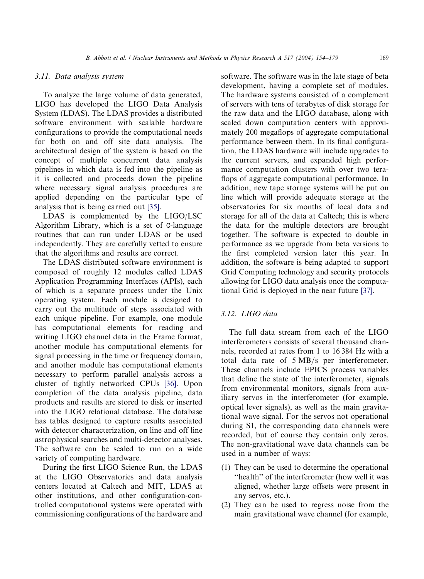# B. Abbott et al. / Nuclear Instruments and Methods in Physics Research A 517 (2004) 154–179 169

### 3.11. Data analysis system

To analyze the large volume of data generated, LIGO has developed the LIGO Data Analysis System (LDAS). The LDAS provides a distributed software environment with scalable hardware configurations to provide the computational needs for both on and off site data analysis. The architectural design of the system is based on the concept of multiple concurrent data analysis pipelines in which data is fed into the pipeline as it is collected and proceeds down the pipeline where necessary signal analysis procedures are applied depending on the particular type of analysis that is being carried out [\[35\]](#page-27-0).

LDAS is complemented by the LIGO/LSC Algorithm Library, which is a set of C-language routines that can run under LDAS or be used independently. They are carefully vetted to ensure that the algorithms and results are correct.

The LDAS distributed software environment is composed of roughly 12 modules called LDAS Application Programming Interfaces (APIs), each of which is a separate process under the Unix operating system. Each module is designed to carry out the multitude of steps associated with each unique pipeline. For example, one module has computational elements for reading and writing LIGO channel data in the Frame format, another module has computational elements for signal processing in the time or frequency domain, and another module has computational elements necessary to perform parallel analysis across a cluster of tightly networked CPUs [\[36\]](#page-27-0). Upon completion of the data analysis pipeline, data products and results are stored to disk or inserted into the LIGO relational database. The database has tables designed to capture results associated with detector characterization, on line and off line astrophysical searches and multi-detector analyses. The software can be scaled to run on a wide variety of computing hardware.

During the first LIGO Science Run, the LDAS at the LIGO Observatories and data analysis centers located at Caltech and MIT, LDAS at other institutions, and other configuration-controlled computational systems were operated with commissioning configurations of the hardware and software. The software was in the late stage of beta development, having a complete set of modules. The hardware systems consisted of a complement of servers with tens of terabytes of disk storage for the raw data and the LIGO database, along with scaled down computation centers with approximately 200 megaflops of aggregate computational performance between them. In its final configuration, the LDAS hardware will include upgrades to the current servers, and expanded high performance computation clusters with over two teraflops of aggregate computational performance. In addition, new tape storage systems will be put on line which will provide adequate storage at the observatories for six months of local data and storage for all of the data at Caltech; this is where the data for the multiple detectors are brought together. The software is expected to double in performance as we upgrade from beta versions to the first completed version later this year. In addition, the software is being adapted to support Grid Computing technology and security protocols allowing for LIGO data analysis once the computational Grid is deployed in the near future [\[37\]](#page-27-0).

## 3.12. LIGO data

The full data stream from each of the LIGO interferometers consists of several thousand channels, recorded at rates from 1 to 16 384 Hz with a total data rate of  $5 MB/s$  per interferometer. These channels include EPICS process variables that define the state of the interferometer, signals from environmental monitors, signals from auxiliary servos in the interferometer (for example, optical lever signals), as well as the main gravitational wave signal. For the servos not operational during S1, the corresponding data channels were recorded, but of course they contain only zeros. The non-gravitational wave data channels can be used in a number of ways:

- (1) They can be used to determine the operational ''health'' of the interferometer (how well it was aligned, whether large offsets were present in any servos, etc.).
- (2) They can be used to regress noise from the main gravitational wave channel (for example,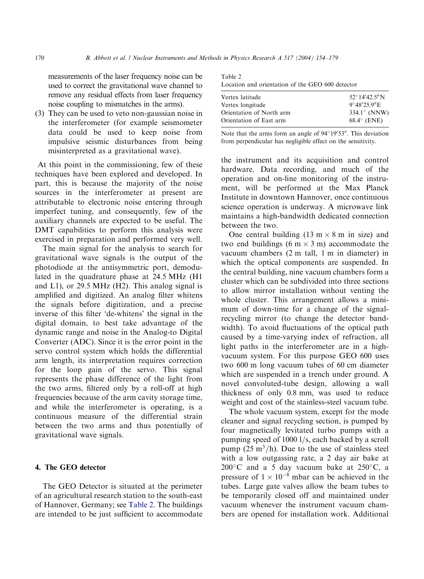Table 2

measurements of the laser frequency noise can be used to correct the gravitational wave channel to remove any residual effects from laser frequency noise coupling to mismatches in the arms).

(3) They can be used to veto non-gaussian noise in the interferometer (for example seismometer data could be used to keep noise from impulsive seismic disturbances from being misinterpreted as a gravitational wave).

At this point in the commissioning, few of these techniques have been explored and developed. In part, this is because the majority of the noise sources in the interferometer at present are attributable to electronic noise entering through imperfect tuning, and consequently, few of the auxiliary channels are expected to be useful. The DMT capabilities to perform this analysis were exercised in preparation and performed very well.

The main signal for the analysis to search for gravitational wave signals is the output of the photodiode at the antisymmetric port, demodulated in the quadrature phase at 24:5 MHz (H1 and L1), or  $29.5 \text{ MHz (H2)}$ . This analog signal is amplified and digitized. An analog filter whitens the signals before digitization, and a precise inverse of this filter 'de-whitens' the signal in the digital domain, to best take advantage of the dynamic range and noise in the Analog-to Digital Converter (ADC). Since it is the error point in the servo control system which holds the differential arm length, its interpretation requires correction for the loop gain of the servo. This signal represents the phase difference of the light from the two arms, filtered only by a roll-off at high frequencies because of the arm cavity storage time, and while the interferometer is operating, is a continuous measure of the differential strain between the two arms and thus potentially of gravitational wave signals.

## 4. The GEO detector

The GEO Detector is situated at the perimeter of an agricultural research station to the south-east of Hannover, Germany; see Table 2. The buildings are intended to be just sufficient to accommodate

| Location and orientation of the GEO 600 detector |                        |  |
|--------------------------------------------------|------------------------|--|
| Vertex latitude                                  | $52^{\circ}14'42.5''N$ |  |
| Vertex longitude                                 | $9^{\circ}48'25.9''E$  |  |
| Orientation of North arm                         | $334.1^{\circ}$ (NNW)  |  |
| Orientation of East arm                          | $68.4^{\circ}$ (ENE)   |  |
|                                                  |                        |  |

 $L = L \cdot \frac{1}{2}$  and  $L = G \cdot \frac{1}{2}$ 

Note that the arms form an angle of  $94^{\circ}19'53''$ . This deviation from perpendicular has negligible effect on the sensitivity.

the instrument and its acquisition and control hardware. Data recording, and much of the operation and on-line monitoring of the instrument, will be performed at the Max Planck Institute in downtown Hannover, once continuous science operation is underway. A microwave link maintains a high-bandwidth dedicated connection between the two.

One central building  $(13 \text{ m} \times 8 \text{ m})$  in size) and two end buildings  $(6 \text{ m} \times 3 \text{ m})$  accommodate the vacuum chambers (2 m tall, 1 m in diameter) in which the optical components are suspended. In the central building, nine vacuum chambers form a cluster which can be subdivided into three sections to allow mirror installation without venting the whole cluster. This arrangement allows a minimum of down-time for a change of the signalrecycling mirror (to change the detector bandwidth). To avoid fluctuations of the optical path caused by a time-varying index of refraction, all light paths in the interferometer are in a highvacuum system. For this purpose GEO 600 uses two 600 m long vacuum tubes of 60 cm diameter which are suspended in a trench under ground. A novel convoluted-tube design, allowing a wall thickness of only 0:8 mm; was used to reduce weight and cost of the stainless-steel vacuum tube.

The whole vacuum system, except for the mode cleaner and signal recycling section, is pumped by four magnetically levitated turbo pumps with a pumping speed of  $1000$   $1/s$ , each backed by a scroll pump  $(25 \text{ m}^3/h)$ . Due to the use of stainless steel with a low outgassing rate, a 2 day air bake at  $200^{\circ}$ C and a 5 day vacuum bake at  $250^{\circ}$ C, a pressure of  $1 \times 10^{-8}$  mbar can be achieved in the tubes. Large gate valves allow the beam tubes to be temporarily closed off and maintained under vacuum whenever the instrument vacuum chambers are opened for installation work. Additional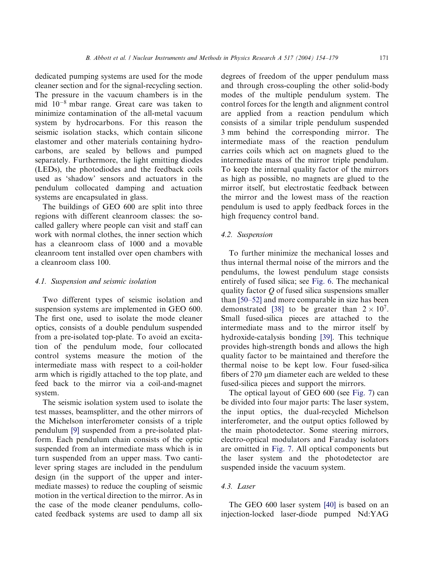dedicated pumping systems are used for the mode cleaner section and for the signal-recycling section. The pressure in the vacuum chambers is in the mid 10-<sup>8</sup> mbar range. Great care was taken to minimize contamination of the all-metal vacuum system by hydrocarbons. For this reason the seismic isolation stacks, which contain silicone elastomer and other materials containing hydrocarbons, are sealed by bellows and pumped separately. Furthermore, the light emitting diodes (LEDs), the photodiodes and the feedback coils used as 'shadow' sensors and actuators in the pendulum collocated damping and actuation systems are encapsulated in glass.

The buildings of GEO 600 are split into three regions with different cleanroom classes: the socalled gallery where people can visit and staff can work with normal clothes, the inner section which has a cleanroom class of 1000 and a movable cleanroom tent installed over open chambers with a cleanroom class 100.

#### 4.1. Suspension and seismic isolation

Two different types of seismic isolation and suspension systems are implemented in GEO 600. The first one, used to isolate the mode cleaner optics, consists of a double pendulum suspended from a pre-isolated top-plate. To avoid an excitation of the pendulum mode, four collocated control systems measure the motion of the intermediate mass with respect to a coil-holder arm which is rigidly attached to the top plate, and feed back to the mirror via a coil-and-magnet system.

The seismic isolation system used to isolate the test masses, beamsplitter, and the other mirrors of the Michelson interferometer consists of a triple pendulum [\[9\]](#page-26-0) suspended from a pre-isolated platform. Each pendulum chain consists of the optic suspended from an intermediate mass which is in turn suspended from an upper mass. Two cantilever spring stages are included in the pendulum design (in the support of the upper and intermediate masses) to reduce the coupling of seismic motion in the vertical direction to the mirror. As in the case of the mode cleaner pendulums, collocated feedback systems are used to damp all six

degrees of freedom of the upper pendulum mass and through cross-coupling the other solid-body modes of the multiple pendulum system. The control forces for the length and alignment control are applied from a reaction pendulum which consists of a similar triple pendulum suspended 3 mm behind the corresponding mirror. The intermediate mass of the reaction pendulum carries coils which act on magnets glued to the intermediate mass of the mirror triple pendulum. To keep the internal quality factor of the mirrors as high as possible, no magnets are glued to the mirror itself, but electrostatic feedback between the mirror and the lowest mass of the reaction pendulum is used to apply feedback forces in the high frequency control band.

#### 4.2. Suspension

To further minimize the mechanical losses and thus internal thermal noise of the mirrors and the pendulums, the lowest pendulum stage consists entirely of fused silica; see [Fig. 6.](#page-20-0) The mechanical quality factor  $Q$  of fused silica suspensions smaller than [\[50–52\]](#page-27-0) and more comparable in size has been demonstrated [\[38\]](#page-27-0) to be greater than  $2 \times 10^7$ . Small fused-silica pieces are attached to the intermediate mass and to the mirror itself by hydroxide-catalysis bonding [\[39\].](#page-27-0) This technique provides high-strength bonds and allows the high quality factor to be maintained and therefore the thermal noise to be kept low. Four fused-silica fibers of 270 µm diameter each are welded to these fused-silica pieces and support the mirrors.

The optical layout of GEO 600 (see [Fig. 7\)](#page-21-0) can be divided into four major parts: The laser system, the input optics, the dual-recycled Michelson interferometer, and the output optics followed by the main photodetector. Some steering mirrors, electro-optical modulators and Faraday isolators are omitted in [Fig. 7](#page-21-0). All optical components but the laser system and the photodetector are suspended inside the vacuum system.

#### 4.3. Laser

The GEO 600 laser system [\[40\]](#page-27-0) is based on an injection-locked laser-diode pumped Nd:YAG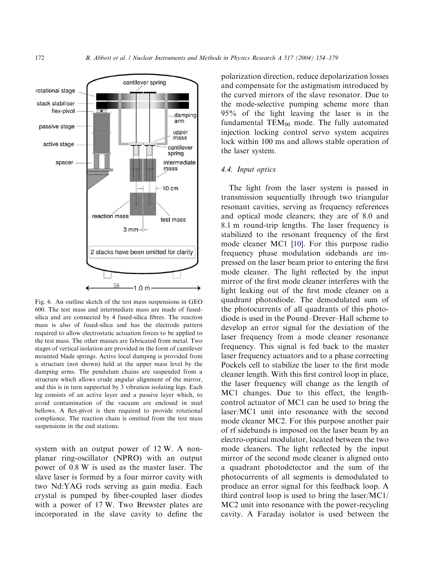<span id="page-20-0"></span>

Fig. 6. An outline sketch of the test mass suspensions in GEO 600. The test mass and intermediate mass are made of fusedsilica and are connected by 4 fused-silica fibres. The reaction mass is also of fused-silica and has the electrode pattern required to allow electrostatic actuation forces to be applied to the test mass. The other masses are fabricated from metal. Two stages of vertical isolation are provided in the form of cantilever mounted blade springs. Active local damping is provided from a structure (not shown) held at the upper mass level by the damping arms. The pendulum chains are suspended from a structure which allows crude angular alignment of the mirror, and this is in turn supported by 3 vibration isolating legs. Each leg consists of an active layer and a passive layer which, to avoid contamination of the vacuum are enclosed in steel bellows. A flex-pivot is then required to provide rotational compliance. The reaction chain is omitted from the test mass suspensions in the end stations.

system with an output power of 12 W. A nonplanar ring-oscillator (NPRO) with an output power of 0:8 W is used as the master laser. The slave laser is formed by a four mirror cavity with two Nd:YAG rods serving as gain media. Each crystal is pumped by fiber-coupled laser diodes with a power of 17 W. Two Brewster plates are incorporated in the slave cavity to define the polarization direction, reduce depolarization losses and compensate for the astigmatism introduced by the curved mirrors of the slave resonator. Due to the mode-selective pumping scheme more than 95% of the light leaving the laser is in the fundamental  $TEM_{00}$  mode. The fully automated injection locking control servo system acquires lock within 100 ms and allows stable operation of the laser system.

#### 4.4. Input optics

The light from the laser system is passed in transmission sequentially through two triangular resonant cavities, serving as frequency references and optical mode cleaners; they are of 8.0 and 8:1 m round-trip lengths. The laser frequency is stabilized to the resonant frequency of the first mode cleaner MC1 [\[10\]](#page-26-0). For this purpose radio frequency phase modulation sidebands are impressed on the laser beam prior to entering the first mode cleaner. The light reflected by the input mirror of the first mode cleaner interferes with the light leaking out of the first mode cleaner on a quadrant photodiode. The demodulated sum of the photocurrents of all quadrants of this photodiode is used in the Pound–Drever–Hall scheme to develop an error signal for the deviation of the laser frequency from a mode cleaner resonance frequency. This signal is fed back to the master laser frequency actuators and to a phase correcting Pockels cell to stabilize the laser to the first mode cleaner length. With this first control loop in place, the laser frequency will change as the length of MC1 changes. Due to this effect, the lengthcontrol actuator of MC1 can be used to bring the laser/MC1 unit into resonance with the second mode cleaner MC2. For this purpose another pair of rf sidebands is imposed on the laser beam by an electro-optical modulator, located between the two mode cleaners. The light reflected by the input mirror of the second mode cleaner is aligned onto a quadrant photodetector and the sum of the photocurrents of all segments is demodulated to produce an error signal for this feedback loop. A third control loop is used to bring the laser/MC1/ MC2 unit into resonance with the power-recycling cavity. A Faraday isolator is used between the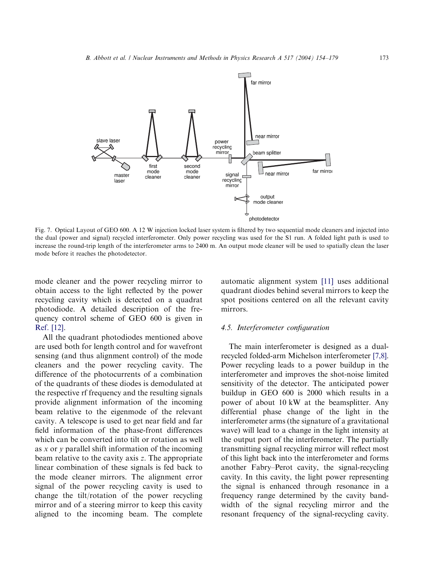<span id="page-21-0"></span>

Fig. 7. Optical Layout of GEO 600. A 12 W injection locked laser system is filtered by two sequential mode cleaners and injected into the dual (power and signal) recycled interferometer. Only power recycling was used for the S1 run. A folded light path is used to increase the round-trip length of the interferometer arms to 2400 m: An output mode cleaner will be used to spatially clean the laser mode before it reaches the photodetector.

mode cleaner and the power recycling mirror to obtain access to the light reflected by the power recycling cavity which is detected on a quadrat photodiode. A detailed description of the frequency control scheme of GEO 600 is given in [Ref. \[12\].](#page-27-0)

All the quadrant photodiodes mentioned above are used both for length control and for wavefront sensing (and thus alignment control) of the mode cleaners and the power recycling cavity. The difference of the photocurrents of a combination of the quadrants of these diodes is demodulated at the respective rf frequency and the resulting signals provide alignment information of the incoming beam relative to the eigenmode of the relevant cavity. A telescope is used to get near field and far field information of the phase-front differences which can be converted into tilt or rotation as well as x or  $\nu$  parallel shift information of the incoming beam relative to the cavity axis z. The appropriate linear combination of these signals is fed back to the mode cleaner mirrors. The alignment error signal of the power recycling cavity is used to change the tilt/rotation of the power recycling mirror and of a steering mirror to keep this cavity aligned to the incoming beam. The complete

automatic alignment system [\[11\]](#page-26-0) uses additional quadrant diodes behind several mirrors to keep the spot positions centered on all the relevant cavity mirrors.

#### 4.5. Interferometer configuration

The main interferometer is designed as a dualrecycled folded-arm Michelson interferometer [\[7,8\]](#page-26-0). Power recycling leads to a power buildup in the interferometer and improves the shot-noise limited sensitivity of the detector. The anticipated power buildup in GEO 600 is 2000 which results in a power of about 10 kW at the beamsplitter. Any differential phase change of the light in the interferometer arms (the signature of a gravitational wave) will lead to a change in the light intensity at the output port of the interferometer. The partially transmitting signal recycling mirror will reflect most of this light back into the interferometer and forms another Fabry–Perot cavity, the signal-recycling cavity. In this cavity, the light power representing the signal is enhanced through resonance in a frequency range determined by the cavity bandwidth of the signal recycling mirror and the resonant frequency of the signal-recycling cavity.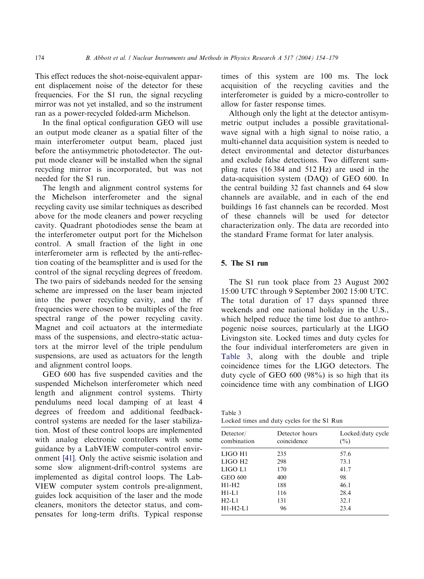174 B. Abbott et al. / Nuclear Instruments and Methods in Physics Research A 517 (2004) 154–179

This effect reduces the shot-noise-equivalent apparent displacement noise of the detector for these frequencies. For the S1 run, the signal recycling mirror was not yet installed, and so the instrument ran as a power-recycled folded-arm Michelson.

In the final optical configuration GEO will use an output mode cleaner as a spatial filter of the main interferometer output beam, placed just before the antisymmetric photodetector. The output mode cleaner will be installed when the signal recycling mirror is incorporated, but was not needed for the S1 run.

The length and alignment control systems for the Michelson interferometer and the signal recycling cavity use similar techniques as described above for the mode cleaners and power recycling cavity. Quadrant photodiodes sense the beam at the interferometer output port for the Michelson control. A small fraction of the light in one interferometer arm is reflected by the anti-reflection coating of the beamsplitter and is used for the control of the signal recycling degrees of freedom. The two pairs of sidebands needed for the sensing scheme are impressed on the laser beam injected into the power recycling cavity, and the rf frequencies were chosen to be multiples of the free spectral range of the power recycling cavity. Magnet and coil actuators at the intermediate mass of the suspensions, and electro-static actuators at the mirror level of the triple pendulum suspensions, are used as actuators for the length and alignment control loops.

GEO 600 has five suspended cavities and the suspended Michelson interferometer which need length and alignment control systems. Thirty pendulums need local damping of at least 4 degrees of freedom and additional feedbackcontrol systems are needed for the laser stabilization. Most of these control loops are implemented with analog electronic controllers with some guidance by a LabVIEW computer-control environment [\[41\].](#page-27-0) Only the active seismic isolation and some slow alignment-drift-control systems are implemented as digital control loops. The Lab-VIEW computer system controls pre-alignment, guides lock acquisition of the laser and the mode cleaners, monitors the detector status, and compensates for long-term drifts. Typical response

times of this system are 100 ms. The lock acquisition of the recycling cavities and the interferometer is guided by a micro-controller to allow for faster response times.

Although only the light at the detector antisymmetric output includes a possible gravitationalwave signal with a high signal to noise ratio, a multi-channel data acquisition system is needed to detect environmental and detector disturbances and exclude false detections. Two different sampling rates (16 384 and 512 Hz) are used in the data-acquisition system (DAQ) of GEO 600. In the central building 32 fast channels and 64 slow channels are available, and in each of the end buildings 16 fast channels can be recorded. Most of these channels will be used for detector characterization only. The data are recorded into the standard Frame format for later analysis.

## 5. The S1 run

The S1 run took place from 23 August 2002 15:00 UTC through 9 September 2002 15:00 UTC. The total duration of 17 days spanned three weekends and one national holiday in the U.S., which helped reduce the time lost due to anthropogenic noise sources, particularly at the LIGO Livingston site. Locked times and duty cycles for the four individual interferometers are given in Table 3, along with the double and triple coincidence times for the LIGO detectors. The duty cycle of GEO 600 (98%) is so high that its coincidence time with any combination of LIGO

Table 3 Locked times and duty cycles for the S1 Run

| $D \cdot \text{vector}/$<br>combination | Detector hours<br>coincidence | Locked/duty cycle<br>$(\%)$ |
|-----------------------------------------|-------------------------------|-----------------------------|
| LIGO H1                                 | 235                           | 57.6                        |
| LIGO H <sub>2</sub>                     | 298                           | 73.1                        |
| LIGO L1                                 | 170                           | 41.7                        |
| <b>GEO 600</b>                          | 400                           | 98                          |
| $H1-H2$                                 | 188                           | 46.1                        |
| $H1-I.1$                                | 116                           | 28.4                        |
| $H2-I.1$                                | 131                           | 32.1                        |
| $H1-H2-L1$                              | 96                            | 23.4                        |
|                                         |                               |                             |

<span id="page-22-0"></span>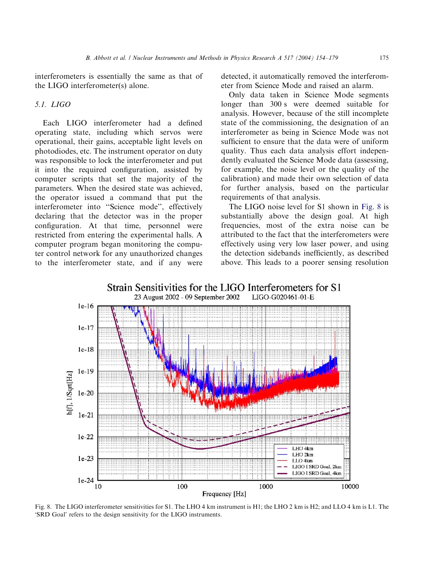interferometers is essentially the same as that of the LIGO interferometer(s) alone.

## 5.1. LIGO

Each LIGO interferometer had a defined operating state, including which servos were operational, their gains, acceptable light levels on photodiodes, etc. The instrument operator on duty was responsible to lock the interferometer and put it into the required configuration, assisted by computer scripts that set the majority of the parameters. When the desired state was achieved, the operator issued a command that put the interferometer into ''Science mode'', effectively declaring that the detector was in the proper configuration. At that time, personnel were restricted from entering the experimental halls. A computer program began monitoring the computer control network for any unauthorized changes to the interferometer state, and if any were detected, it automatically removed the interferometer from Science Mode and raised an alarm.

Only data taken in Science Mode segments longer than 300 s were deemed suitable for analysis. However, because of the still incomplete state of the commissioning, the designation of an interferometer as being in Science Mode was not sufficient to ensure that the data were of uniform quality. Thus each data analysis effort independently evaluated the Science Mode data (assessing, for example, the noise level or the quality of the calibration) and made their own selection of data for further analysis, based on the particular requirements of that analysis.

The LIGO noise level for S1 shown in Fig. 8 is substantially above the design goal. At high frequencies, most of the extra noise can be attributed to the fact that the interferometers were effectively using very low laser power, and using the detection sidebands inefficiently, as described above. This leads to a poorer sensing resolution



Fig. 8. The LIGO interferometer sensitivities for S1. The LHO 4 km instrument is H1; the LHO 2 km is H2; and LLO 4 km is L1. The 'SRDGoal' refers to the design sensitivity for the LIGO instruments.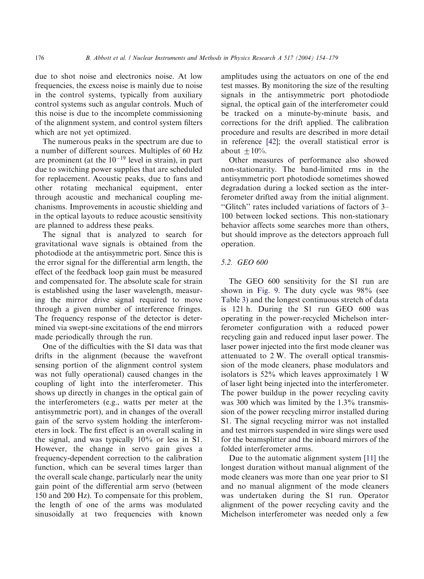due to shot noise and electronics noise. At low frequencies, the excess noise is mainly due to noise in the control systems, typically from auxiliary control systems such as angular controls. Much of this noise is due to the incomplete commissioning of the alignment system, and control system filters which are not yet optimized.

The numerous peaks in the spectrum are due to a number of different sources. Multiples of 60 Hz are prominent (at the  $10^{-19}$  level in strain), in part due to switching power supplies that are scheduled for replacement. Acoustic peaks, due to fans and other rotating mechanical equipment, enter through acoustic and mechanical coupling mechanisms. Improvements in acoustic shielding and in the optical layouts to reduce acoustic sensitivity are planned to address these peaks.

The signal that is analyzed to search for gravitational wave signals is obtained from the photodiode at the antisymmetric port. Since this is the error signal for the differential arm length, the effect of the feedback loop gain must be measured and compensated for. The absolute scale for strain is established using the laser wavelength, measuring the mirror drive signal required to move through a given number of interference fringes. The frequency response of the detector is determined via swept-sine excitations of the end mirrors made periodically through the run.

One of the difficulties with the S1 data was that drifts in the alignment (because the wavefront sensing portion of the alignment control system was not fully operational) caused changes in the coupling of light into the interferometer. This shows up directly in changes in the optical gain of the interferometers (e.g., watts per meter at the antisymmetric port), and in changes of the overall gain of the servo system holding the interferometers in lock. The first effect is an overall scaling in the signal, and was typically 10% or less in S1. However, the change in servo gain gives a frequency-dependent correction to the calibration function, which can be several times larger than the overall scale change, particularly near the unity gain point of the differential arm servo (between 150 and 200 Hz). To compensate for this problem, the length of one of the arms was modulated sinusoidally at two frequencies with known

amplitudes using the actuators on one of the end test masses. By monitoring the size of the resulting signals in the antisymmetric port photodiode signal, the optical gain of the interferometer could be tracked on a minute-by-minute basis, and corrections for the drift applied. The calibration procedure and results are described in more detail in reference [\[42\]](#page-27-0); the overall statistical error is about  $+10%$ .

Other measures of performance also showed non-stationarity. The band-limited rms in the antisymmetric port photodiode sometimes showed degradation during a locked section as the interferometer drifted away from the initial alignment. ''Glitch'' rates included variations of factors of 3– 100 between locked sections. This non-stationary behavior affects some searches more than others, but should improve as the detectors approach full operation.

#### 5.2. GEO 600

The GEO 600 sensitivity for the S1 run are shown in [Fig. 9](#page-25-0). The duty cycle was 98% (see [Table 3\)](#page-22-0) and the longest continuous stretch of data is 121 h: During the S1 run GEO 600 was operating in the power-recycled Michelson interferometer configuration with a reduced power recycling gain and reduced input laser power. The laser power injected into the first mode cleaner was attenuated to 2 W: The overall optical transmission of the mode cleaners, phase modulators and isolators is 52% which leaves approximately 1 W of laser light being injected into the interferometer. The power buildup in the power recycling cavity was 300 which was limited by the 1.3% transmission of the power recycling mirror installed during S1. The signal recycling mirror was not installed and test mirrors suspended in wire slings were used for the beamsplitter and the inboard mirrors of the folded interferometer arms.

Due to the automatic alignment system [\[11\]](#page-26-0) the longest duration without manual alignment of the mode cleaners was more than one year prior to S1 and no manual alignment of the mode cleaners was undertaken during the S1 run. Operator alignment of the power recycling cavity and the Michelson interferometer was needed only a few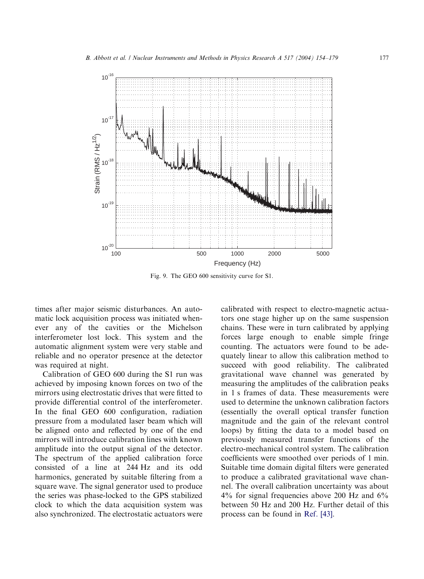<span id="page-25-0"></span>

Fig. 9. The GEO 600 sensitivity curve for S1.

times after major seismic disturbances. An automatic lock acquisition process was initiated whenever any of the cavities or the Michelson interferometer lost lock. This system and the automatic alignment system were very stable and reliable and no operator presence at the detector was required at night.

Calibration of GEO 600 during the S1 run was achieved by imposing known forces on two of the mirrors using electrostatic drives that were fitted to provide differential control of the interferometer. In the final GEO 600 configuration, radiation pressure from a modulated laser beam which will be aligned onto and reflected by one of the end mirrors will introduce calibration lines with known amplitude into the output signal of the detector. The spectrum of the applied calibration force consisted of a line at 244 Hz and its odd harmonics, generated by suitable filtering from a square wave. The signal generator used to produce the series was phase-locked to the GPS stabilized clock to which the data acquisition system was also synchronized. The electrostatic actuators were

calibrated with respect to electro-magnetic actuators one stage higher up on the same suspension chains. These were in turn calibrated by applying forces large enough to enable simple fringe counting. The actuators were found to be adequately linear to allow this calibration method to succeed with good reliability. The calibrated gravitational wave channel was generated by measuring the amplitudes of the calibration peaks in 1 s frames of data. These measurements were used to determine the unknown calibration factors (essentially the overall optical transfer function magnitude and the gain of the relevant control loops) by fitting the data to a model based on previously measured transfer functions of the electro-mechanical control system. The calibration coefficients were smoothed over periods of 1 min: Suitable time domain digital filters were generated to produce a calibrated gravitational wave channel. The overall calibration uncertainty was about 4% for signal frequencies above 200 Hz and 6% between 50 Hz and 200 Hz. Further detail of this process can be found in [Ref. \[43\].](#page-27-0)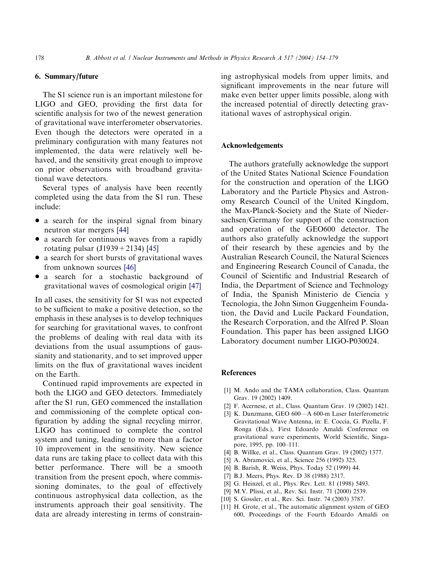<span id="page-26-0"></span>

### 6. Summary/future

The S1 science run is an important milestone for LIGO and GEO, providing the first data for scientific analysis for two of the newest generation of gravitational wave interferometer observatories. Even though the detectors were operated in a preliminary configuration with many features not implemented, the data were relatively well behaved, and the sensitivity great enough to improve on prior observations with broadband gravitational wave detectors.

Several types of analysis have been recently completed using the data from the S1 run. These include:

- a search for the inspiral signal from binary neutron star mergers [\[44\]](#page-27-0)
- a search for continuous waves from a rapidly rotating pulsar  $(J1939 + 2134)$  [\[45\]](#page-27-0)
- a search for short bursts of gravitational waves from unknown sources [\[46\]](#page-27-0)
- a search for a stochastic background of gravitational waves of cosmological origin [\[47\]](#page-27-0)

In all cases, the sensitivity for S1 was not expected to be sufficient to make a positive detection, so the emphasis in these analyses is to develop techniques for searching for gravitational waves, to confront the problems of dealing with real data with its deviations from the usual assumptions of gaussianity and stationarity, and to set improved upper limits on the flux of gravitational waves incident on the Earth.

Continued rapid improvements are expected in both the LIGO and GEO detectors. Immediately after the S1 run, GEO commenced the installation and commissioning of the complete optical configuration by adding the signal recycling mirror. LIGO has continued to complete the control system and tuning, leading to more than a factor 10 improvement in the sensitivity. New science data runs are taking place to collect data with this better performance. There will be a smooth transition from the present epoch, where commissioning dominates, to the goal of effectively continuous astrophysical data collection, as the instruments approach their goal sensitivity. The data are already interesting in terms of constraining astrophysical models from upper limits, and significant improvements in the near future will make even better upper limits possible, along with the increased potential of directly detecting gravitational waves of astrophysical origin.

#### Acknowledgements

The authors gratefully acknowledge the support of the United States National Science Foundation for the construction and operation of the LIGO Laboratory and the Particle Physics and Astronomy Research Council of the United Kingdom, the Max-Planck-Society and the State of Niedersachsen/Germany for support of the construction and operation of the GEO600 detector. The authors also gratefully acknowledge the support of their research by these agencies and by the Australian Research Council, the Natural Sciences and Engineering Research Council of Canada, the Council of Scientific and Industrial Research of India, the Department of Science and Technology of India, the Spanish Ministerio de Ciencia y Tecnologia, the John Simon Guggenheim Foundation, the David and Lucile Packard Foundation, the Research Corporation, and the Alfred P. Sloan Foundation. This paper has been assigned LIGO Laboratory document number LIGO-P030024.

#### **References**

- [1] M. Ando and the TAMA collaboration, Class. Quantum Grav. 19 (2002) 1409.
- [2] F. Acernese, et al., Class. Quantum Grav. 19 (2002) 1421.
- [3] K. Danzmann, GEO 600-A 600-m Laser Interferometric Gravitational Wave Antenna, in: E. Coccia, G. Pizella, F. Ronga (Eds.), First Edoardo Amaldi Conference on gravitational wave experiments, World Scientific, Singapore, 1995, pp. 100–111.
- [4] B. Willke, et al., Class. Quantum Grav. 19 (2002) 1377.
- [5] A. Abramovici, et al., Science 256 (1992) 325.
- [6] B. Barish, R. Weiss, Phys. Today 52 (1999) 44.
- [7] B.J. Meers, Phys. Rev. D 38 (1988) 2317.
- [8] G. Heinzel, et al., Phys. Rev. Lett. 81 (1998) 5493.
- [9] M.V. Plissi, et al., Rev. Sci. Instr. 71 (2000) 2539.
- [10] S. Gossler, et al., Rev. Sci. Instr. 74 (2003) 3787.
- [11] H. Grote, et al., The automatic alignment system of GEO 600, Proceedings of the Fourth Edoardo Amaldi on